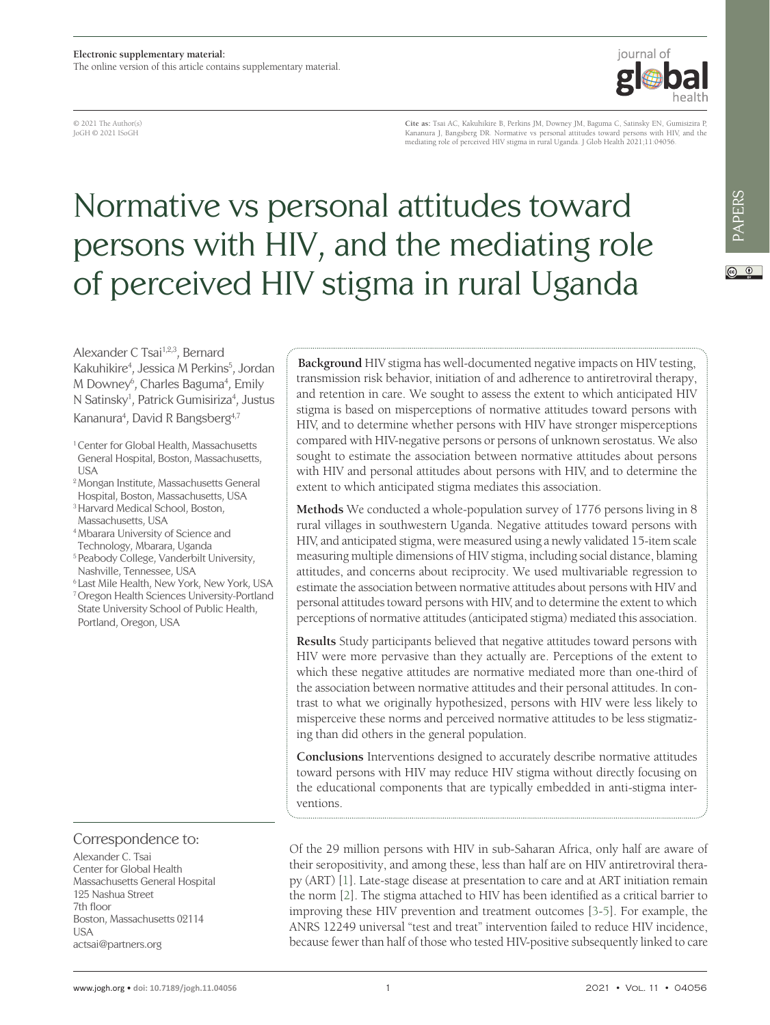© 2021 The Author(s) JoGH © 2021 ISoGH

**Cite as:** Tsai AC, Kakuhikire B, Perkins JM, Downey JM, Baguma C, Satinsky EN, Gumisizira P, Kananura J, Bangsberg DR. Normative vs personal attitudes toward persons with HIV, and the mediating role of perceived HIV stigma in rural Uganda. J Glob Health 2021;11:04056.

iournal of

# Normative vs personal attitudes toward persons with HIV, and the mediating role of perceived HIV stigma in rural Uganda

 $\circledcirc$ 

Alexander C Tsai<sup>1,2,3</sup>, Bernard Kakuhikire4 , Jessica M Perkins5 , Jordan M Downey<sup>6</sup>, Charles Baguma<sup>4</sup>, Emily N Satinsky<sup>1</sup>, Patrick Gumisiriza<sup>4</sup>, Justus

Kananura<sup>4</sup>, David R Bangsberg<sup>4,7</sup>

- <sup>1</sup> Center for Global Health, Massachusetts General Hospital, Boston, Massachusetts, **I** ISA
- 2 Mongan Institute, Massachusetts General
- Hospital, Boston, Massachusetts, USA 3 Harvard Medical School, Boston,
- Massachusetts, USA
- 4 Mbarara University of Science and Technology, Mbarara, Uganda
- 5 Peabody College, Vanderbilt University, Nashville, Tennessee, USA
- 6 Last Mile Health, New York, New York, USA
- 7 Oregon Health Sciences University-Portland State University School of Public Health, Portland, Oregon, USA

Correspondence to:

Alexander C. Tsai Center for Global Health Massachusetts General Hospital 125 Nashua Street 7th floor Boston, Massachusetts 02114 USA actsai@partners.org

**Background** HIV stigma has well-documented negative impacts on HIV testing, transmission risk behavior, initiation of and adherence to antiretroviral therapy, and retention in care. We sought to assess the extent to which anticipated HIV stigma is based on misperceptions of normative attitudes toward persons with HIV, and to determine whether persons with HIV have stronger misperceptions compared with HIV-negative persons or persons of unknown serostatus. We also sought to estimate the association between normative attitudes about persons with HIV and personal attitudes about persons with HIV, and to determine the extent to which anticipated stigma mediates this association.

**Methods** We conducted a whole-population survey of 1776 persons living in 8 rural villages in southwestern Uganda. Negative attitudes toward persons with HIV, and anticipated stigma, were measured using a newly validated 15-item scale measuring multiple dimensions of HIV stigma, including social distance, blaming attitudes, and concerns about reciprocity. We used multivariable regression to estimate the association between normative attitudes about persons with HIV and personal attitudes toward persons with HIV, and to determine the extent to which perceptions of normative attitudes (anticipated stigma) mediated this association.

**Results** Study participants believed that negative attitudes toward persons with HIV were more pervasive than they actually are. Perceptions of the extent to which these negative attitudes are normative mediated more than one-third of the association between normative attitudes and their personal attitudes. In contrast to what we originally hypothesized, persons with HIV were less likely to misperceive these norms and perceived normative attitudes to be less stigmatizing than did others in the general population.

**Conclusions** Interventions designed to accurately describe normative attitudes toward persons with HIV may reduce HIV stigma without directly focusing on the educational components that are typically embedded in anti-stigma interventions.

Of the 29 million persons with HIV in sub-Saharan Africa, only half are aware of their seropositivity, and among these, less than half are on HIV antiretroviral therapy (ART) [\[1\]](#page-11-0). Late-stage disease at presentation to care and at ART initiation remain the norm [\[2\]](#page-11-1). The stigma attached to HIV has been identified as a critical barrier to improving these HIV prevention and treatment outcomes [\[3](#page-11-2)[-5](#page-11-3)]. For example, the ANRS 12249 universal "test and treat" intervention failed to reduce HIV incidence, because fewer than half of those who tested HIV-positive subsequently linked to care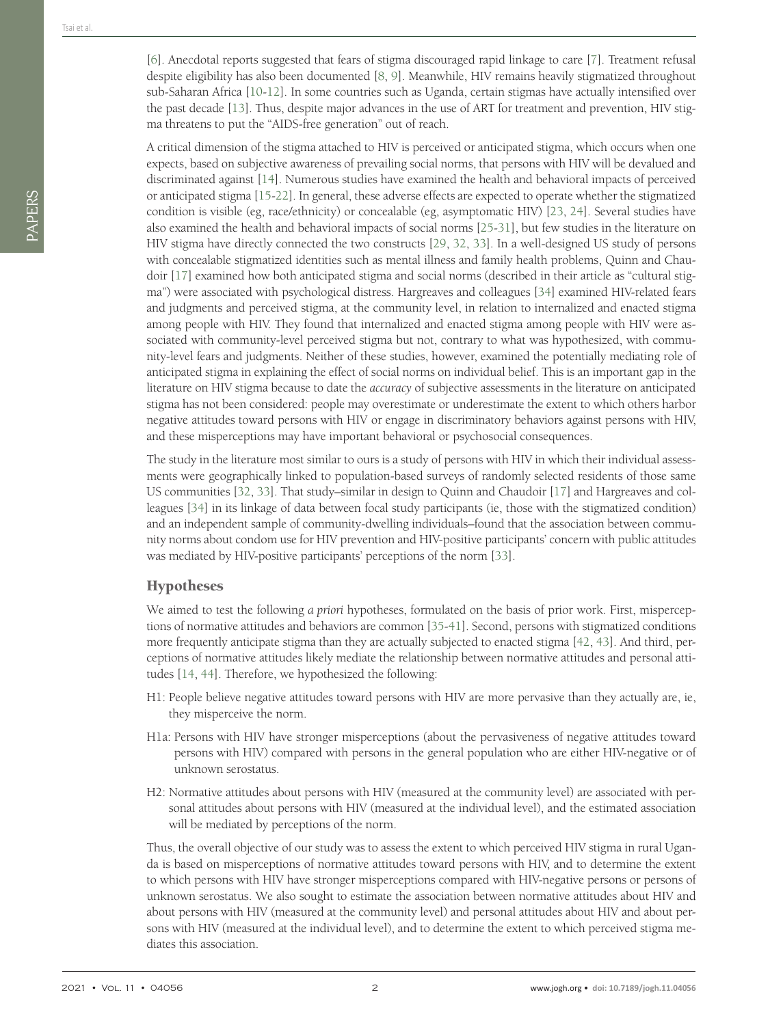PAPERS

A critical dimension of the stigma attached to HIV is perceived or anticipated stigma, which occurs when one expects, based on subjective awareness of prevailing social norms, that persons with HIV will be devalued and discriminated against [\[14](#page-11-11)]. Numerous studies have examined the health and behavioral impacts of perceived or anticipated stigma [[15](#page-11-12)[-22](#page-12-0)]. In general, these adverse effects are expected to operate whether the stigmatized condition is visible (eg, race/ethnicity) or concealable (eg, asymptomatic HIV) [[23,](#page-12-1) [24](#page-12-2)]. Several studies have also examined the health and behavioral impacts of social norms [[25](#page-12-3)[-31](#page-12-4)], but few studies in the literature on HIV stigma have directly connected the two constructs [\[29](#page-12-5), [32,](#page-12-6) [33](#page-12-7)]. In a well-designed US study of persons with concealable stigmatized identities such as mental illness and family health problems, Quinn and Chaudoir [\[17](#page-12-8)] examined how both anticipated stigma and social norms (described in their article as "cultural stigma") were associated with psychological distress. Hargreaves and colleagues [\[34](#page-12-9)] examined HIV-related fears and judgments and perceived stigma, at the community level, in relation to internalized and enacted stigma among people with HIV. They found that internalized and enacted stigma among people with HIV were associated with community-level perceived stigma but not, contrary to what was hypothesized, with community-level fears and judgments. Neither of these studies, however, examined the potentially mediating role of anticipated stigma in explaining the effect of social norms on individual belief. This is an important gap in the literature on HIV stigma because to date the *accuracy* of subjective assessments in the literature on anticipated stigma has not been considered: people may overestimate or underestimate the extent to which others harbor negative attitudes toward persons with HIV or engage in discriminatory behaviors against persons with HIV, and these misperceptions may have important behavioral or psychosocial consequences.

The study in the literature most similar to ours is a study of persons with HIV in which their individual assessments were geographically linked to population-based surveys of randomly selected residents of those same US communities [[32,](#page-12-6) [33\]](#page-12-7). That study–similar in design to Quinn and Chaudoir [\[17\]](#page-12-8) and Hargreaves and colleagues [[34\]](#page-12-9) in its linkage of data between focal study participants (ie, those with the stigmatized condition) and an independent sample of community-dwelling individuals–found that the association between community norms about condom use for HIV prevention and HIV-positive participants' concern with public attitudes was mediated by HIV-positive participants' perceptions of the norm [\[33](#page-12-7)].

#### **Hypotheses**

We aimed to test the following *a priori* hypotheses, formulated on the basis of prior work. First, misperceptions of normative attitudes and behaviors are common [[35-](#page-12-10)[41](#page-12-11)]. Second, persons with stigmatized conditions more frequently anticipate stigma than they are actually subjected to enacted stigma [\[42](#page-12-12), [43](#page-13-0)]. And third, perceptions of normative attitudes likely mediate the relationship between normative attitudes and personal attitudes [\[14](#page-11-11), [44\]](#page-13-1). Therefore, we hypothesized the following:

- H1: People believe negative attitudes toward persons with HIV are more pervasive than they actually are, ie, they misperceive the norm.
- H1a: Persons with HIV have stronger misperceptions (about the pervasiveness of negative attitudes toward persons with HIV) compared with persons in the general population who are either HIV-negative or of unknown serostatus.
- H2: Normative attitudes about persons with HIV (measured at the community level) are associated with personal attitudes about persons with HIV (measured at the individual level), and the estimated association will be mediated by perceptions of the norm.

Thus, the overall objective of our study was to assess the extent to which perceived HIV stigma in rural Uganda is based on misperceptions of normative attitudes toward persons with HIV, and to determine the extent to which persons with HIV have stronger misperceptions compared with HIV-negative persons or persons of unknown serostatus. We also sought to estimate the association between normative attitudes about HIV and about persons with HIV (measured at the community level) and personal attitudes about HIV and about persons with HIV (measured at the individual level), and to determine the extent to which perceived stigma mediates this association.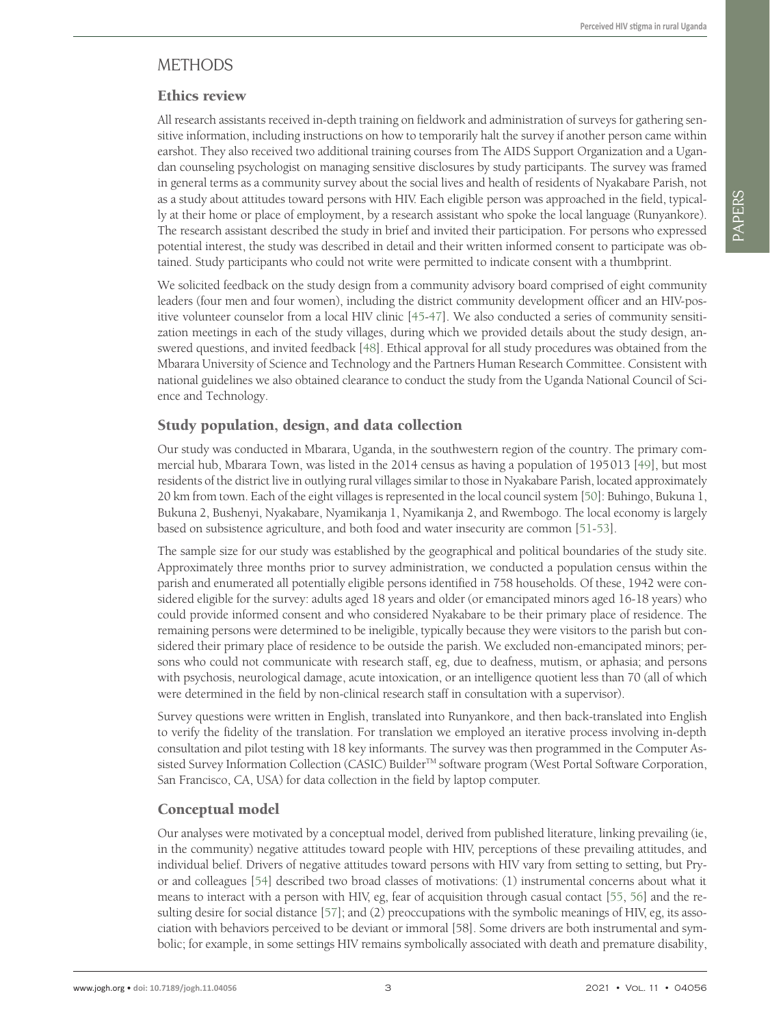# METHODS

## Ethics review

All research assistants received in-depth training on fieldwork and administration of surveys for gathering sensitive information, including instructions on how to temporarily halt the survey if another person came within earshot. They also received two additional training courses from The AIDS Support Organization and a Ugandan counseling psychologist on managing sensitive disclosures by study participants. The survey was framed in general terms as a community survey about the social lives and health of residents of Nyakabare Parish, not as a study about attitudes toward persons with HIV. Each eligible person was approached in the field, typically at their home or place of employment, by a research assistant who spoke the local language (Runyankore). The research assistant described the study in brief and invited their participation. For persons who expressed potential interest, the study was described in detail and their written informed consent to participate was obtained. Study participants who could not write were permitted to indicate consent with a thumbprint.

We solicited feedback on the study design from a community advisory board comprised of eight community leaders (four men and four women), including the district community development officer and an HIV-positive volunteer counselor from a local HIV clinic [\[45-](#page-13-2)[47](#page-13-3)]. We also conducted a series of community sensitization meetings in each of the study villages, during which we provided details about the study design, answered questions, and invited feedback [[48](#page-13-4)]. Ethical approval for all study procedures was obtained from the Mbarara University of Science and Technology and the Partners Human Research Committee. Consistent with national guidelines we also obtained clearance to conduct the study from the Uganda National Council of Science and Technology.

## Study population, design, and data collection

Our study was conducted in Mbarara, Uganda, in the southwestern region of the country. The primary commercial hub, Mbarara Town, was listed in the 2014 census as having a population of 195013 [\[49\]](#page-13-5), but most residents of the district live in outlying rural villages similar to those in Nyakabare Parish, located approximately 20 km from town. Each of the eight villages is represented in the local council system [\[50](#page-13-6)]: Buhingo, Bukuna 1, Bukuna 2, Bushenyi, Nyakabare, Nyamikanja 1, Nyamikanja 2, and Rwembogo. The local economy is largely based on subsistence agriculture, and both food and water insecurity are common [\[51](#page-13-7)-[53\]](#page-13-8).

The sample size for our study was established by the geographical and political boundaries of the study site. Approximately three months prior to survey administration, we conducted a population census within the parish and enumerated all potentially eligible persons identified in 758 households. Of these, 1942 were considered eligible for the survey: adults aged 18 years and older (or emancipated minors aged 16-18 years) who could provide informed consent and who considered Nyakabare to be their primary place of residence. The remaining persons were determined to be ineligible, typically because they were visitors to the parish but considered their primary place of residence to be outside the parish. We excluded non-emancipated minors; persons who could not communicate with research staff, eg, due to deafness, mutism, or aphasia; and persons with psychosis, neurological damage, acute intoxication, or an intelligence quotient less than 70 (all of which were determined in the field by non-clinical research staff in consultation with a supervisor).

Survey questions were written in English, translated into Runyankore, and then back-translated into English to verify the fidelity of the translation. For translation we employed an iterative process involving in-depth consultation and pilot testing with 18 key informants. The survey was then programmed in the Computer Assisted Survey Information Collection (CASIC) Builder<sup>™</sup> software program (West Portal Software Corporation, San Francisco, CA, USA) for data collection in the field by laptop computer.

# Conceptual model

Our analyses were motivated by a conceptual model, derived from published literature, linking prevailing (ie, in the community) negative attitudes toward people with HIV, perceptions of these prevailing attitudes, and individual belief. Drivers of negative attitudes toward persons with HIV vary from setting to setting, but Pryor and colleagues [\[54](#page-13-9)] described two broad classes of motivations: (1) instrumental concerns about what it means to interact with a person with HIV, eg, fear of acquisition through casual contact [\[55](#page-13-10), [56\]](#page-13-11) and the resulting desire for social distance [\[57](#page-13-12)]; and (2) preoccupations with the symbolic meanings of HIV, eg, its association with behaviors perceived to be deviant or immoral [58]. Some drivers are both instrumental and symbolic; for example, in some settings HIV remains symbolically associated with death and premature disability,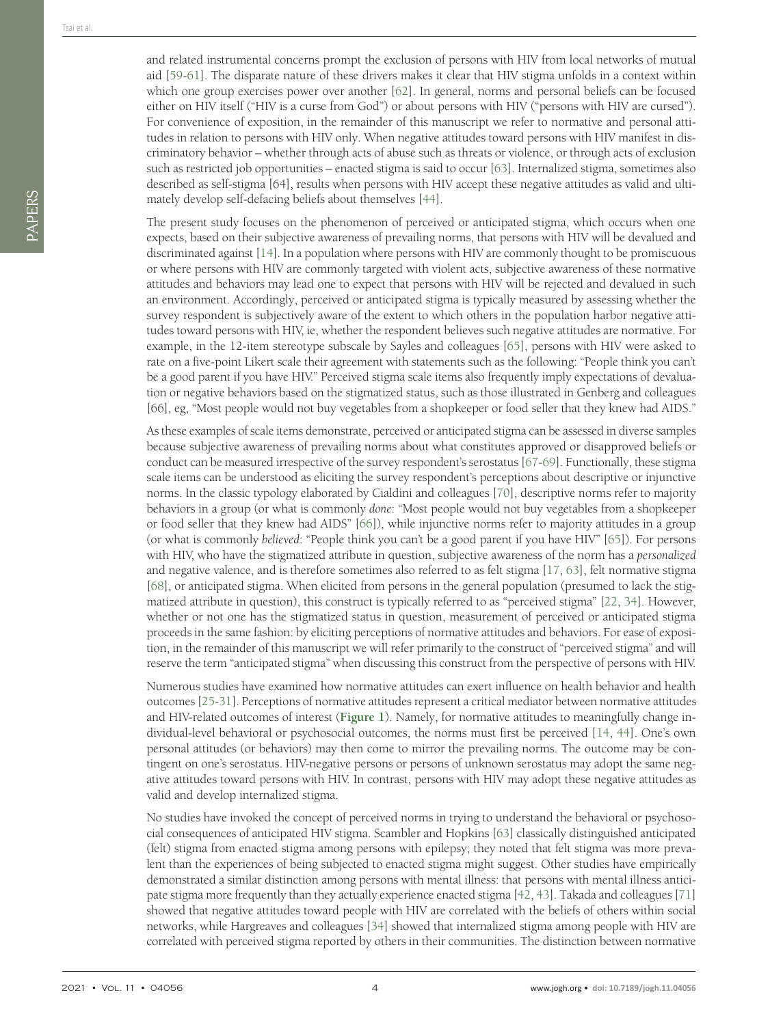and related instrumental concerns prompt the exclusion of persons with HIV from local networks of mutual aid [\[59](#page-13-13)-[61\]](#page-13-14). The disparate nature of these drivers makes it clear that HIV stigma unfolds in a context within which one group exercises power over another [[62](#page-13-15)]. In general, norms and personal beliefs can be focused either on HIV itself ("HIV is a curse from God") or about persons with HIV ("persons with HIV are cursed"). For convenience of exposition, in the remainder of this manuscript we refer to normative and personal attitudes in relation to persons with HIV only. When negative attitudes toward persons with HIV manifest in discriminatory behavior – whether through acts of abuse such as threats or violence, or through acts of exclusion such as restricted job opportunities – enacted stigma is said to occur [\[63\]](#page-13-16). Internalized stigma, sometimes also described as self-stigma [64], results when persons with HIV accept these negative attitudes as valid and ultimately develop self-defacing beliefs about themselves [\[44](#page-13-1)].

The present study focuses on the phenomenon of perceived or anticipated stigma, which occurs when one expects, based on their subjective awareness of prevailing norms, that persons with HIV will be devalued and discriminated against [\[14](#page-11-11)]. In a population where persons with HIV are commonly thought to be promiscuous or where persons with HIV are commonly targeted with violent acts, subjective awareness of these normative attitudes and behaviors may lead one to expect that persons with HIV will be rejected and devalued in such an environment. Accordingly, perceived or anticipated stigma is typically measured by assessing whether the survey respondent is subjectively aware of the extent to which others in the population harbor negative attitudes toward persons with HIV, ie, whether the respondent believes such negative attitudes are normative. For example, in the 12-item stereotype subscale by Sayles and colleagues [\[65\]](#page-13-17), persons with HIV were asked to rate on a five-point Likert scale their agreement with statements such as the following: "People think you can't be a good parent if you have HIV." Perceived stigma scale items also frequently imply expectations of devaluation or negative behaviors based on the stigmatized status, such as those illustrated in Genberg and colleagues [66], eg, "Most people would not buy vegetables from a shopkeeper or food seller that they knew had AIDS."

As these examples of scale items demonstrate, perceived or anticipated stigma can be assessed in diverse samples because subjective awareness of prevailing norms about what constitutes approved or disapproved beliefs or conduct can be measured irrespective of the survey respondent's serostatus [\[67-](#page-13-18)[69\]](#page-13-19). Functionally, these stigma scale items can be understood as eliciting the survey respondent's perceptions about descriptive or injunctive norms. In the classic typology elaborated by Cialdini and colleagues [\[70\]](#page-14-0), descriptive norms refer to majority behaviors in a group (or what is commonly *done*: "Most people would not buy vegetables from a shopkeeper or food seller that they knew had AIDS" [\[66](#page-13-20)]), while injunctive norms refer to majority attitudes in a group (or what is commonly *believed*: "People think you can't be a good parent if you have HIV" [\[65](#page-13-17)]). For persons with HIV, who have the stigmatized attribute in question, subjective awareness of the norm has a *personalized* and negative valence, and is therefore sometimes also referred to as felt stigma [[17](#page-12-8), [63](#page-13-16)], felt normative stigma [[68\]](#page-13-21), or anticipated stigma. When elicited from persons in the general population (presumed to lack the stigmatized attribute in question), this construct is typically referred to as "perceived stigma" [[22,](#page-12-0) [34](#page-12-9)]. However, whether or not one has the stigmatized status in question, measurement of perceived or anticipated stigma proceeds in the same fashion: by eliciting perceptions of normative attitudes and behaviors. For ease of exposition, in the remainder of this manuscript we will refer primarily to the construct of "perceived stigma" and will reserve the term "anticipated stigma" when discussing this construct from the perspective of persons with HIV.

Numerous studies have examined how normative attitudes can exert influence on health behavior and health outcomes [\[25](#page-12-3)[-31\]](#page-12-4). Perceptions of normative attitudes represent a critical mediator between normative attitudes and HIV-related outcomes of interest (**[Figure](#page-4-0) 1**). Namely, for normative attitudes to meaningfully change individual-level behavioral or psychosocial outcomes, the norms must first be perceived [\[14,](#page-11-11) [44](#page-13-1)]. One's own personal attitudes (or behaviors) may then come to mirror the prevailing norms. The outcome may be contingent on one's serostatus. HIV-negative persons or persons of unknown serostatus may adopt the same negative attitudes toward persons with HIV. In contrast, persons with HIV may adopt these negative attitudes as valid and develop internalized stigma.

No studies have invoked the concept of perceived norms in trying to understand the behavioral or psychosocial consequences of anticipated HIV stigma. Scambler and Hopkins [\[63](#page-13-16)] classically distinguished anticipated (felt) stigma from enacted stigma among persons with epilepsy; they noted that felt stigma was more prevalent than the experiences of being subjected to enacted stigma might suggest. Other studies have empirically demonstrated a similar distinction among persons with mental illness: that persons with mental illness anticipate stigma more frequently than they actually experience enacted stigma [\[42,](#page-12-12) [43](#page-13-0)]. Takada and colleagues [\[71](#page-14-1)] showed that negative attitudes toward people with HIV are correlated with the beliefs of others within social networks, while Hargreaves and colleagues [\[34](#page-12-9)] showed that internalized stigma among people with HIV are correlated with perceived stigma reported by others in their communities. The distinction between normative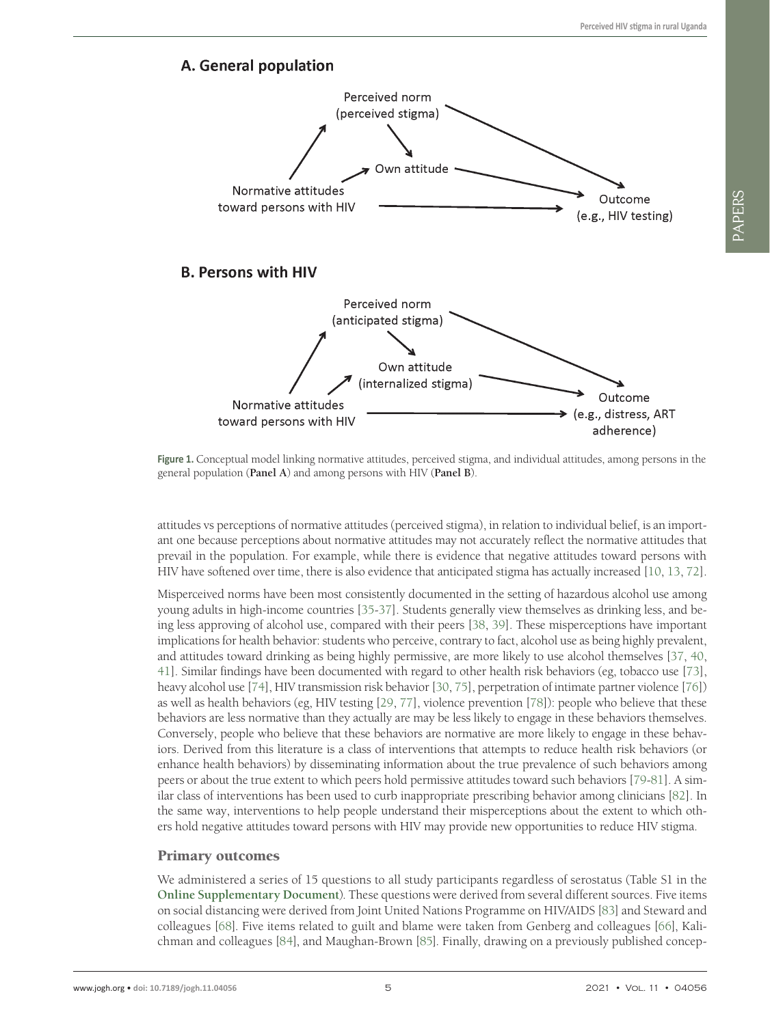<span id="page-4-0"></span>

**Figure 1.** Conceptual model linking normative attitudes, perceived stigma, and individual attitudes, among persons in the general population (**Panel A**) and among persons with HIV (**Panel B**).

attitudes vs perceptions of normative attitudes (perceived stigma), in relation to individual belief, is an important one because perceptions about normative attitudes may not accurately reflect the normative attitudes that prevail in the population. For example, while there is evidence that negative attitudes toward persons with HIV have softened over time, there is also evidence that anticipated stigma has actually increased [\[10,](#page-11-8) [13](#page-11-10), [72](#page-14-2)].

Misperceived norms have been most consistently documented in the setting of hazardous alcohol use among young adults in high-income countries [[35-](#page-12-10)[37](#page-12-13)]. Students generally view themselves as drinking less, and being less approving of alcohol use, compared with their peers [\[38](#page-12-14), [39\]](#page-12-15). These misperceptions have important implications for health behavior: students who perceive, contrary to fact, alcohol use as being highly prevalent, and attitudes toward drinking as being highly permissive, are more likely to use alcohol themselves [\[37](#page-12-13), [40](#page-12-16), [41](#page-12-11)]. Similar findings have been documented with regard to other health risk behaviors (eg, tobacco use [\[73](#page-14-3)], heavy alcohol use [[74\]](#page-14-4), HIV transmission risk behavior [\[30](#page-12-17), [75\]](#page-14-5), perpetration of intimate partner violence [\[76\]](#page-14-6)) as well as health behaviors (eg, HIV testing [\[29](#page-12-5), [77](#page-14-7)], violence prevention [\[78](#page-14-8)]): people who believe that these behaviors are less normative than they actually are may be less likely to engage in these behaviors themselves. Conversely, people who believe that these behaviors are normative are more likely to engage in these behaviors. Derived from this literature is a class of interventions that attempts to reduce health risk behaviors (or enhance health behaviors) by disseminating information about the true prevalence of such behaviors among peers or about the true extent to which peers hold permissive attitudes toward such behaviors [\[79](#page-14-9)-[81\]](#page-14-10). A similar class of interventions has been used to curb inappropriate prescribing behavior among clinicians [\[82](#page-14-11)]. In the same way, interventions to help people understand their misperceptions about the extent to which others hold negative attitudes toward persons with HIV may provide new opportunities to reduce HIV stigma.

#### Primary outcomes

We administered a series of 15 questions to all study participants regardless of serostatus (Table S1 in the **Online [Supplementary](#page-11-13) Document**). These questions were derived from several different sources. Five items on social distancing were derived from Joint United Nations Programme on HIV/AIDS [[83\]](#page-14-12) and Steward and colleagues [\[68](#page-13-21)]. Five items related to guilt and blame were taken from Genberg and colleagues [\[66](#page-13-20)], Kalichman and colleagues [\[84\]](#page-14-13), and Maughan-Brown [[85\]](#page-14-14). Finally, drawing on a previously published concep-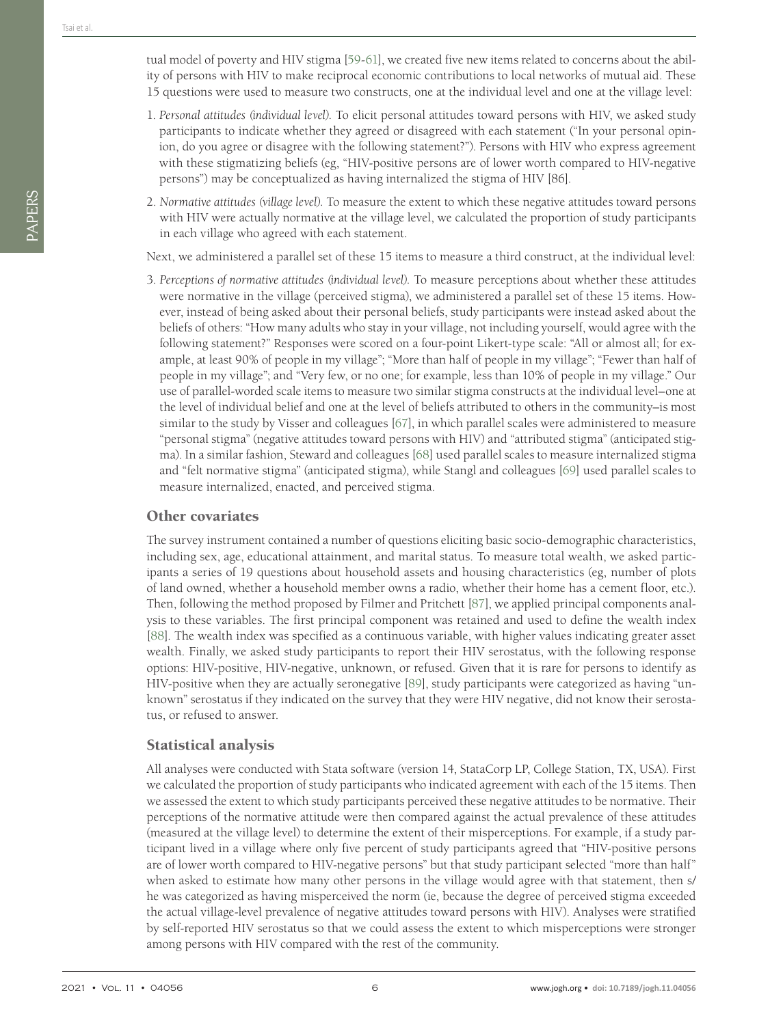- 1. *Personal attitudes (individual level).* To elicit personal attitudes toward persons with HIV, we asked study participants to indicate whether they agreed or disagreed with each statement ("In your personal opinion, do you agree or disagree with the following statement?"). Persons with HIV who express agreement with these stigmatizing beliefs (eg, "HIV-positive persons are of lower worth compared to HIV-negative persons") may be conceptualized as having internalized the stigma of HIV [86].
- 2. *Normative attitudes (village level).* To measure the extent to which these negative attitudes toward persons with HIV were actually normative at the village level, we calculated the proportion of study participants in each village who agreed with each statement.

Next, we administered a parallel set of these 15 items to measure a third construct, at the individual level:

3. *Perceptions of normative attitudes (individual level).* To measure perceptions about whether these attitudes were normative in the village (perceived stigma), we administered a parallel set of these 15 items. However, instead of being asked about their personal beliefs, study participants were instead asked about the beliefs of others: "How many adults who stay in your village, not including yourself, would agree with the following statement?" Responses were scored on a four-point Likert-type scale: "All or almost all; for example, at least 90% of people in my village"; "More than half of people in my village"; "Fewer than half of people in my village"; and "Very few, or no one; for example, less than 10% of people in my village." Our use of parallel-worded scale items to measure two similar stigma constructs at the individual level–one at the level of individual belief and one at the level of beliefs attributed to others in the community–is most similar to the study by Visser and colleagues [\[67\]](#page-13-18), in which parallel scales were administered to measure "personal stigma" (negative attitudes toward persons with HIV) and "attributed stigma" (anticipated stigma). In a similar fashion, Steward and colleagues [\[68](#page-13-21)] used parallel scales to measure internalized stigma and "felt normative stigma" (anticipated stigma), while Stangl and colleagues [\[69](#page-13-19)] used parallel scales to measure internalized, enacted, and perceived stigma.

### Other covariates

The survey instrument contained a number of questions eliciting basic socio-demographic characteristics, including sex, age, educational attainment, and marital status. To measure total wealth, we asked participants a series of 19 questions about household assets and housing characteristics (eg, number of plots of land owned, whether a household member owns a radio, whether their home has a cement floor, etc.). Then, following the method proposed by Filmer and Pritchett [\[87](#page-14-15)], we applied principal components analysis to these variables. The first principal component was retained and used to define the wealth index [[88\]](#page-14-16). The wealth index was specified as a continuous variable, with higher values indicating greater asset wealth. Finally, we asked study participants to report their HIV serostatus, with the following response options: HIV-positive, HIV-negative, unknown, or refused. Given that it is rare for persons to identify as HIV-positive when they are actually seronegative [\[89](#page-14-17)], study participants were categorized as having "unknown" serostatus if they indicated on the survey that they were HIV negative, did not know their serostatus, or refused to answer.

## Statistical analysis

All analyses were conducted with Stata software (version 14, StataCorp LP, College Station, TX, USA). First we calculated the proportion of study participants who indicated agreement with each of the 15 items. Then we assessed the extent to which study participants perceived these negative attitudes to be normative. Their perceptions of the normative attitude were then compared against the actual prevalence of these attitudes (measured at the village level) to determine the extent of their misperceptions. For example, if a study participant lived in a village where only five percent of study participants agreed that "HIV-positive persons are of lower worth compared to HIV-negative persons" but that study participant selected "more than half" when asked to estimate how many other persons in the village would agree with that statement, then s/ he was categorized as having misperceived the norm (ie, because the degree of perceived stigma exceeded the actual village-level prevalence of negative attitudes toward persons with HIV). Analyses were stratified by self-reported HIV serostatus so that we could assess the extent to which misperceptions were stronger among persons with HIV compared with the rest of the community.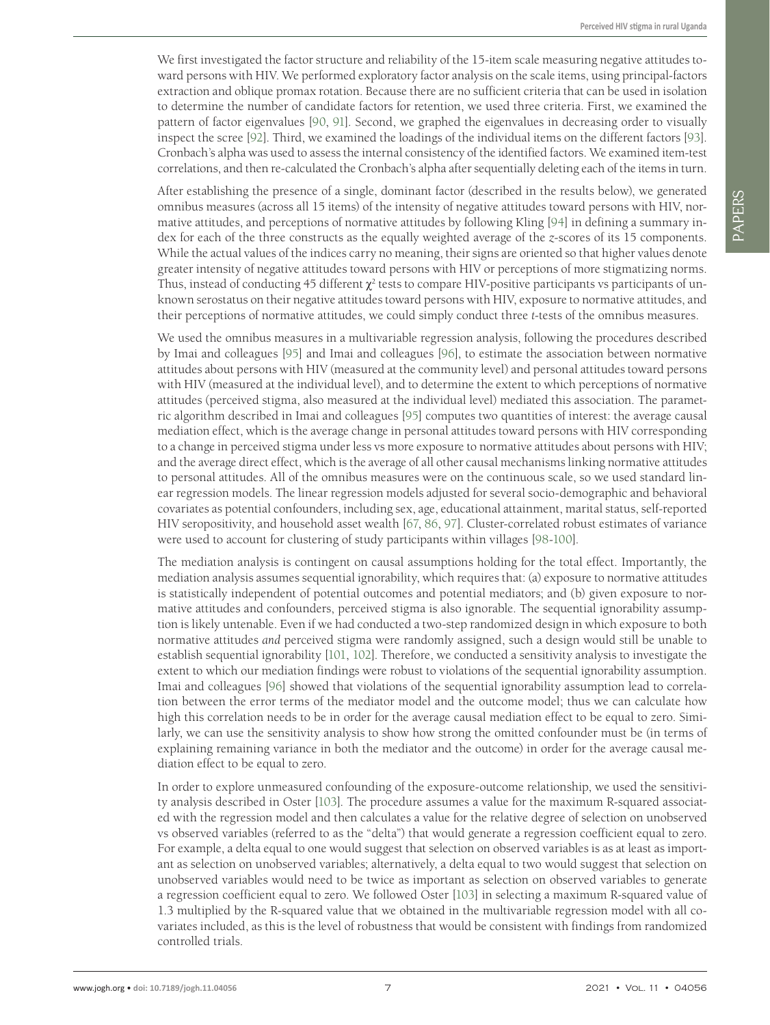We first investigated the factor structure and reliability of the 15-item scale measuring negative attitudes toward persons with HIV. We performed exploratory factor analysis on the scale items, using principal-factors extraction and oblique promax rotation. Because there are no sufficient criteria that can be used in isolation to determine the number of candidate factors for retention, we used three criteria. First, we examined the pattern of factor eigenvalues [\[90,](#page-14-18) [91\]](#page-14-19). Second, we graphed the eigenvalues in decreasing order to visually inspect the scree [[92](#page-14-20)]. Third, we examined the loadings of the individual items on the different factors [\[93\]](#page-14-21). Cronbach's alpha was used to assess the internal consistency of the identified factors. We examined item-test correlations, and then re-calculated the Cronbach's alpha after sequentially deleting each of the items in turn.

After establishing the presence of a single, dominant factor (described in the results below), we generated omnibus measures (across all 15 items) of the intensity of negative attitudes toward persons with HIV, normative attitudes, and perceptions of normative attitudes by following Kling [\[94](#page-14-22)] in defining a summary index for each of the three constructs as the equally weighted average of the *z*-scores of its 15 components. While the actual values of the indices carry no meaning, their signs are oriented so that higher values denote greater intensity of negative attitudes toward persons with HIV or perceptions of more stigmatizing norms. Thus, instead of conducting 45 different  $\chi^2$  tests to compare HIV-positive participants vs participants of unknown serostatus on their negative attitudes toward persons with HIV, exposure to normative attitudes, and their perceptions of normative attitudes, we could simply conduct three *t*-tests of the omnibus measures.

We used the omnibus measures in a multivariable regression analysis, following the procedures described by Imai and colleagues [\[95\]](#page-14-23) and Imai and colleagues [[96\]](#page-14-23), to estimate the association between normative attitudes about persons with HIV (measured at the community level) and personal attitudes toward persons with HIV (measured at the individual level), and to determine the extent to which perceptions of normative attitudes (perceived stigma, also measured at the individual level) mediated this association. The parametric algorithm described in Imai and colleagues [\[95\]](#page-14-24) computes two quantities of interest: the average causal mediation effect, which is the average change in personal attitudes toward persons with HIV corresponding to a change in perceived stigma under less vs more exposure to normative attitudes about persons with HIV; and the average direct effect, which is the average of all other causal mechanisms linking normative attitudes to personal attitudes. All of the omnibus measures were on the continuous scale, so we used standard linear regression models. The linear regression models adjusted for several socio-demographic and behavioral covariates as potential confounders, including sex, age, educational attainment, marital status, self-reported HIV seropositivity, and household asset wealth [\[67,](#page-13-18) [86,](#page-14-25) [97](#page-14-26)]. Cluster-correlated robust estimates of variance were used to account for clustering of study participants within villages [\[98-](#page-14-27)[100\]](#page-15-0).

The mediation analysis is contingent on causal assumptions holding for the total effect. Importantly, the mediation analysis assumes sequential ignorability, which requires that: (a) exposure to normative attitudes is statistically independent of potential outcomes and potential mediators; and (b) given exposure to normative attitudes and confounders, perceived stigma is also ignorable. The sequential ignorability assumption is likely untenable. Even if we had conducted a two-step randomized design in which exposure to both normative attitudes *and* perceived stigma were randomly assigned, such a design would still be unable to establish sequential ignorability [\[101,](#page-15-1) [102](#page-15-2)]. Therefore, we conducted a sensitivity analysis to investigate the extent to which our mediation findings were robust to violations of the sequential ignorability assumption. Imai and colleagues [\[96](#page-14-23)] showed that violations of the sequential ignorability assumption lead to correlation between the error terms of the mediator model and the outcome model; thus we can calculate how high this correlation needs to be in order for the average causal mediation effect to be equal to zero. Similarly, we can use the sensitivity analysis to show how strong the omitted confounder must be (in terms of explaining remaining variance in both the mediator and the outcome) in order for the average causal mediation effect to be equal to zero.

In order to explore unmeasured confounding of the exposure-outcome relationship, we used the sensitivity analysis described in Oster [\[103](#page-15-3)]. The procedure assumes a value for the maximum R-squared associated with the regression model and then calculates a value for the relative degree of selection on unobserved vs observed variables (referred to as the "delta") that would generate a regression coefficient equal to zero. For example, a delta equal to one would suggest that selection on observed variables is as at least as important as selection on unobserved variables; alternatively, a delta equal to two would suggest that selection on unobserved variables would need to be twice as important as selection on observed variables to generate a regression coefficient equal to zero. We followed Oster [\[103\]](#page-15-3) in selecting a maximum R-squared value of 1.3 multiplied by the R-squared value that we obtained in the multivariable regression model with all covariates included, as this is the level of robustness that would be consistent with findings from randomized controlled trials.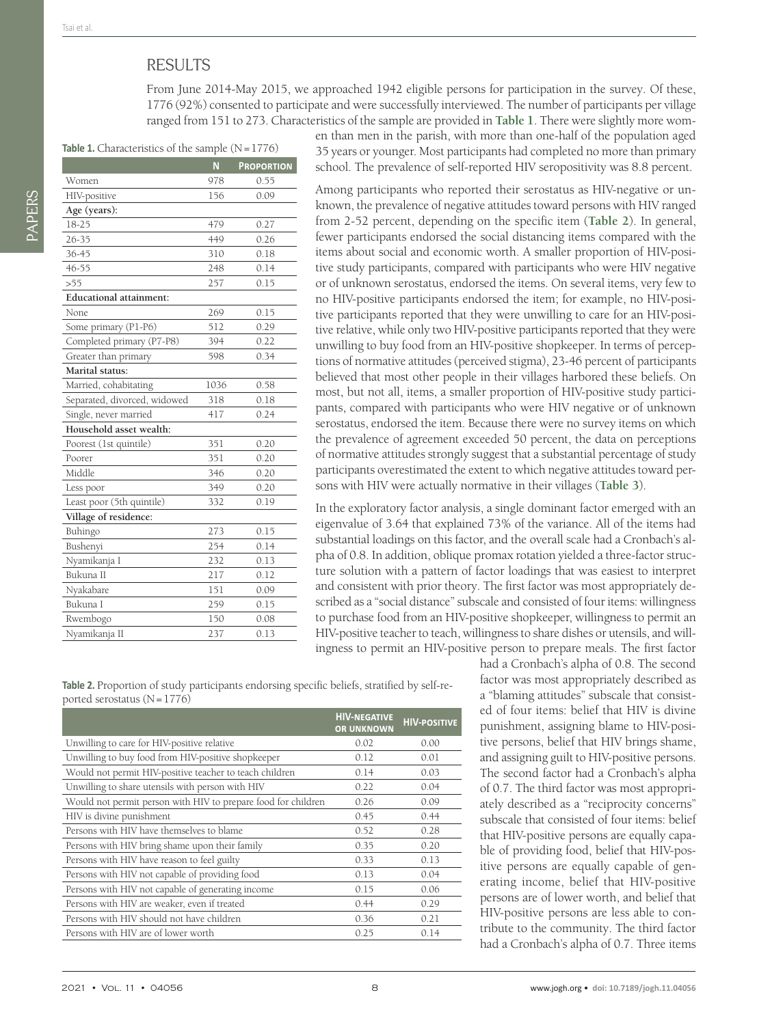## RESULTS

From June 2014-May 2015, we approached 1942 eligible persons for participation in the survey. Of these, 1776 (92%) consented to participate and were successfully interviewed. The number of participants per village ranged from 151 to 273. Characteristics of the sample are provided in **[Table](#page-7-0) 1**. There were slightly more wom-

<span id="page-7-0"></span>Table 1. Characteristics of the sample (N=1776)

|                                | N    | <b>PROPORTION</b> |  |  |
|--------------------------------|------|-------------------|--|--|
| Women                          | 978  | 0.55              |  |  |
| HIV-positive                   | 156  | 0.09              |  |  |
| Age (years):                   |      |                   |  |  |
| 18-25                          | 479  | 0.27              |  |  |
| 26-35                          | 449  | 0.26              |  |  |
| 36-45                          | 310  | 0.18              |  |  |
| 46-55                          | 248  | 0.14              |  |  |
| > 55                           | 257  | 0.15              |  |  |
| <b>Educational attainment:</b> |      |                   |  |  |
| None                           | 269  | 0.15              |  |  |
| Some primary (P1-P6)           | 512  | 0.29              |  |  |
| Completed primary (P7-P8)      | 394  | 0.22              |  |  |
| Greater than primary           | 598  | 0.34              |  |  |
| Marital status:                |      |                   |  |  |
| Married, cohabitating          | 1036 | 0.58              |  |  |
| Separated, divorced, widowed   | 318  | 0.18              |  |  |
| Single, never married          | 417  | 0.24              |  |  |
| Household asset wealth:        |      |                   |  |  |
| Poorest (1st quintile)         | 351  | 0.20              |  |  |
| Poorer                         | 351  | 0.20              |  |  |
| Middle                         | 346  | 0.20              |  |  |
| Less poor                      | 349  | 0.20              |  |  |
| Least poor (5th quintile)      | 332  | 0.19              |  |  |
| Village of residence:          |      |                   |  |  |
| Buhingo                        | 273  | 0.15              |  |  |
| Bushenyi                       | 254  | 0.14              |  |  |
| Nyamikanja I                   | 232  | 0.13              |  |  |
| Bukuna II                      | 217  | 0.12              |  |  |
| Nyakabare                      | 151  | 0.09              |  |  |
| Bukuna I                       | 259  | 0.15              |  |  |
| Rwembogo                       | 150  | 0.08              |  |  |
| Nyamikanja II                  | 237  | 0.13              |  |  |

en than men in the parish, with more than one-half of the population aged 35 years or younger. Most participants had completed no more than primary school. The prevalence of self-reported HIV seropositivity was 8.8 percent.

Among participants who reported their serostatus as HIV-negative or unknown, the prevalence of negative attitudes toward persons with HIV ranged from 2-52 percent, depending on the specific item (**[Table](#page-7-1) 2**). In general, fewer participants endorsed the social distancing items compared with the items about social and economic worth. A smaller proportion of HIV-positive study participants, compared with participants who were HIV negative or of unknown serostatus, endorsed the items. On several items, very few to no HIV-positive participants endorsed the item; for example, no HIV-positive participants reported that they were unwilling to care for an HIV-positive relative, while only two HIV-positive participants reported that they were unwilling to buy food from an HIV-positive shopkeeper. In terms of perceptions of normative attitudes (perceived stigma), 23-46 percent of participants believed that most other people in their villages harbored these beliefs. On most, but not all, items, a smaller proportion of HIV-positive study participants, compared with participants who were HIV negative or of unknown serostatus, endorsed the item. Because there were no survey items on which the prevalence of agreement exceeded 50 percent, the data on perceptions of normative attitudes strongly suggest that a substantial percentage of study participants overestimated the extent to which negative attitudes toward persons with HIV were actually normative in their villages (**[Table](#page-8-0) 3**).

In the exploratory factor analysis, a single dominant factor emerged with an eigenvalue of 3.64 that explained 73% of the variance. All of the items had substantial loadings on this factor, and the overall scale had a Cronbach's alpha of 0.8. In addition, oblique promax rotation yielded a three-factor structure solution with a pattern of factor loadings that was easiest to interpret and consistent with prior theory. The first factor was most appropriately described as a "social distance" subscale and consisted of four items: willingness to purchase food from an HIV-positive shopkeeper, willingness to permit an HIV-positive teacher to teach, willingness to share dishes or utensils, and willingness to permit an HIV-positive person to prepare meals. The first factor

<span id="page-7-1"></span>**Table 2.** Proportion of study participants endorsing specific beliefs, stratified by self-reported serostatus  $(N=1776)$ 

|                                                               | <b>HIV-NEGATIVE</b><br><b>OR UNKNOWN</b> | <b>HIV-POSITIVE</b> |
|---------------------------------------------------------------|------------------------------------------|---------------------|
| Unwilling to care for HIV-positive relative                   | 0.02                                     | 0.00                |
| Unwilling to buy food from HIV-positive shopkeeper            | 0.12                                     | 0.01                |
| Would not permit HIV-positive teacher to teach children       | 0.14                                     | 0.03                |
| Unwilling to share utensils with person with HIV              | 0.22                                     | 0.04                |
| Would not permit person with HIV to prepare food for children | 0.26                                     | 0.09                |
| HIV is divine punishment                                      | 0.45                                     | 0.44                |
| Persons with HIV have themselves to blame                     | 0.52                                     | 0.28                |
| Persons with HIV bring shame upon their family                | 0.35                                     | 0.20                |
| Persons with HIV have reason to feel guilty                   | 0.33                                     | 0.13                |
| Persons with HIV not capable of providing food                | 0.13                                     | 0.04                |
| Persons with HIV not capable of generating income             | 0.15                                     | 0.06                |
| Persons with HIV are weaker, even if treated                  | 0.44                                     | 0.29                |
| Persons with HIV should not have children                     | 0.36                                     | 0.21                |
| Persons with HIV are of lower worth                           | 0.25                                     | 0.14                |

had a Cronbach's alpha of 0.8. The second factor was most appropriately described as a "blaming attitudes" subscale that consisted of four items: belief that HIV is divine punishment, assigning blame to HIV-positive persons, belief that HIV brings shame, and assigning guilt to HIV-positive persons. The second factor had a Cronbach's alpha of 0.7. The third factor was most appropriately described as a "reciprocity concerns" subscale that consisted of four items: belief that HIV-positive persons are equally capable of providing food, belief that HIV-positive persons are equally capable of generating income, belief that HIV-positive persons are of lower worth, and belief that HIV-positive persons are less able to contribute to the community. The third factor had a Cronbach's alpha of 0.7. Three items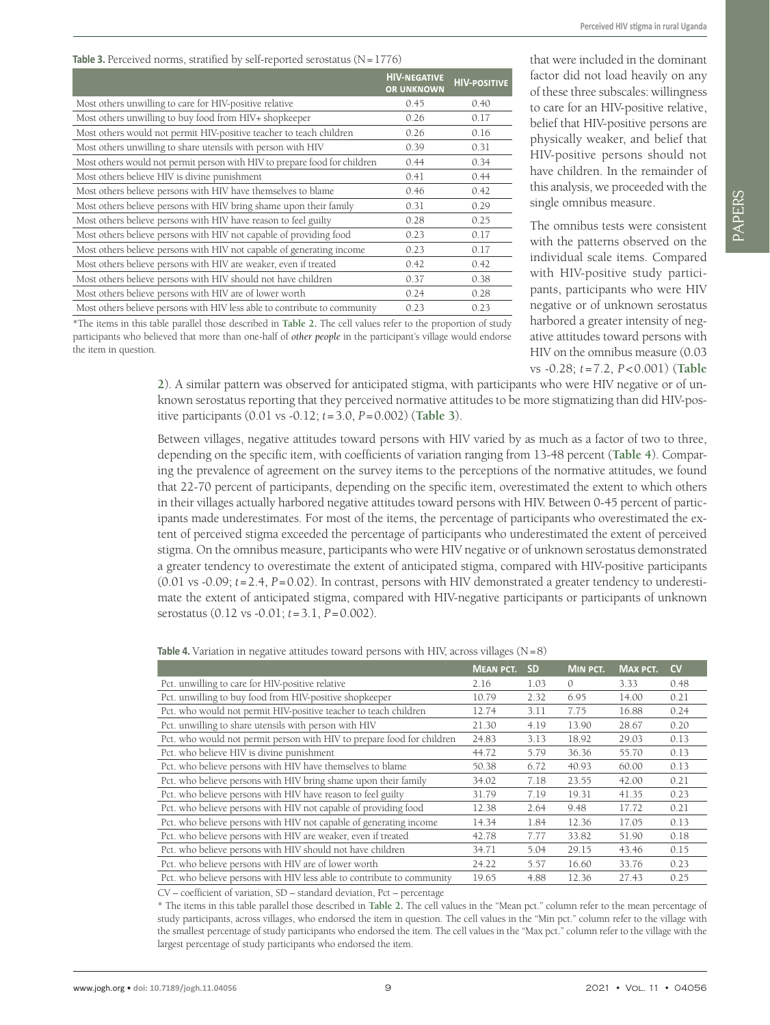PAPERS

#### <span id="page-8-0"></span>Table 3. Perceived norms, stratified by self-reported serostatus (N=1776)

|                                                                           | <b>HIV-NEGATIVE</b><br><b>OR UNKNOWN</b> | <b>HIV-POSITIVE</b> |
|---------------------------------------------------------------------------|------------------------------------------|---------------------|
| Most others unwilling to care for HIV-positive relative                   | 0.45                                     | 0.40                |
| Most others unwilling to buy food from HIV+ shopkeeper                    | 0.26                                     | 0.17                |
| Most others would not permit HIV-positive teacher to teach children       | 0.26                                     | 0.16                |
| Most others unwilling to share utensils with person with HIV              | 0.39                                     | 0.31                |
| Most others would not permit person with HIV to prepare food for children | 0.44                                     | 0.34                |
| Most others believe HIV is divine punishment                              | 0.41                                     | 0.44                |
| Most others believe persons with HIV have themselves to blame             | 0.46                                     | 0.42                |
| Most others believe persons with HIV bring shame upon their family        | 0.31                                     | 0.29                |
| Most others believe persons with HIV have reason to feel guilty           | 0.28                                     | 0.25                |
| Most others believe persons with HIV not capable of providing food        | 0.23                                     | 0.17                |
| Most others believe persons with HIV not capable of generating income     | 0.23                                     | 0.17                |
| Most others believe persons with HIV are weaker, even if treated          | 0.42                                     | 0.42                |
| Most others believe persons with HIV should not have children             | 0.37                                     | 0.38                |
| Most others believe persons with HIV are of lower worth                   | 0.24                                     | 0.28                |
| Most others believe persons with HIV less able to contribute to community | 0.23                                     | 0.23                |

\*The items in this table parallel those described in **[Table](#page-7-1) 2.** The cell values refer to the proportion of study participants who believed that more than one-half of *other people* in the participant's village would endorse the item in question.

that were included in the dominant factor did not load heavily on any of these three subscales: willingness to care for an HIV-positive relative, belief that HIV-positive persons are physically weaker, and belief that HIV-positive persons should not have children. In the remainder of this analysis, we proceeded with the single omnibus measure.

The omnibus tests were consistent with the patterns observed on the individual scale items. Compared with HIV-positive study participants, participants who were HIV negative or of unknown serostatus harbored a greater intensity of negative attitudes toward persons with HIV on the omnibus measure (0.03 vs -0.28; *t*=7.2, *P*<0.001) (**[Table](#page-7-1)**

**[2](#page-7-1)**). A similar pattern was observed for anticipated stigma, with participants who were HIV negative or of unknown serostatus reporting that they perceived normative attitudes to be more stigmatizing than did HIV-positive participants (0.01 vs -0.12; *t*=3.0, *P*=0.002) (**[Table](#page-8-0) 3**).

Between villages, negative attitudes toward persons with HIV varied by as much as a factor of two to three, depending on the specific item, with coefficients of variation ranging from 13-48 percent (**[Table](#page-8-1) 4**). Comparing the prevalence of agreement on the survey items to the perceptions of the normative attitudes, we found that 22-70 percent of participants, depending on the specific item, overestimated the extent to which others in their villages actually harbored negative attitudes toward persons with HIV. Between 0-45 percent of participants made underestimates. For most of the items, the percentage of participants who overestimated the extent of perceived stigma exceeded the percentage of participants who underestimated the extent of perceived stigma. On the omnibus measure, participants who were HIV negative or of unknown serostatus demonstrated a greater tendency to overestimate the extent of anticipated stigma, compared with HIV-positive participants (0.01 vs -0.09;  $t = 2.4$ ,  $P = 0.02$ ). In contrast, persons with HIV demonstrated a greater tendency to underestimate the extent of anticipated stigma, compared with HIV-negative participants or participants of unknown serostatus (0.12 vs -0.01; *t*=3.1, *P*=0.002).

<span id="page-8-1"></span>**Table 4.** Variation in negative attitudes toward persons with HIV, across villages  $(N=8)$ 

|                                                                        | <b>MEAN PCT.</b> | <b>SD</b> | <b>MIN PCT.</b> | <b>MAX PCT.</b> | <b>CV</b> |
|------------------------------------------------------------------------|------------------|-----------|-----------------|-----------------|-----------|
| Pct. unwilling to care for HIV-positive relative                       | 2.16             | 1.03      | $\mathcal{O}$   | 3.33            | 0.48      |
| Pct. unwilling to buy food from HIV-positive shopkeeper                | 10.79            | 2.32      | 6.95            | 14.00           | 0.21      |
| Pct. who would not permit HIV-positive teacher to teach children       | 12.74            | 3.11      | 7.75            | 16.88           | 0.24      |
| Pct. unwilling to share utensils with person with HIV                  | 21.30            | 4.19      | 13.90           | 28.67           | 0.20      |
| Pct. who would not permit person with HIV to prepare food for children | 24.83            | 3.13      | 18.92           | 29.03           | 0.13      |
| Pct. who believe HIV is divine punishment                              | 44.72            | 5.79      | 36.36           | 55.70           | 0.13      |
| Pct. who believe persons with HIV have themselves to blame             | 50.38            | 6.72      | 40.93           | 60.00           | 0.13      |
| Pct. who believe persons with HIV bring shame upon their family        | 34.02            | 7.18      | 23.55           | 42.00           | 0.21      |
| Pct. who believe persons with HIV have reason to feel guilty           | 31.79            | 7.19      | 19.31           | 41.35           | 0.23      |
| Pct. who believe persons with HIV not capable of providing food        | 12.38            | 2.64      | 9.48            | 17.72           | 0.21      |
| Pct. who believe persons with HIV not capable of generating income     | 14.34            | 1.84      | 12.36           | 17.05           | 0.13      |
| Pct. who believe persons with HIV are weaker, even if treated          | 42.78            | 7.77      | 33.82           | 51.90           | 0.18      |
| Pct. who believe persons with HIV should not have children             | 34.71            | 5.04      | 29.15           | 43.46           | 0.15      |
| Pct. who believe persons with HIV are of lower worth                   | 24.22            | 5.57      | 16.60           | 33.76           | 0.23      |
| Pct. who believe persons with HIV less able to contribute to community | 19.65            | 4.88      | 12.36           | 27.43           | 0.25      |

CV – coefficient of variation, SD – standard deviation, Pct – percentage

\* The items in this table parallel those described in **[Table](#page-7-1) 2.** The cell values in the "Mean pct." column refer to the mean percentage of study participants, across villages, who endorsed the item in question. The cell values in the "Min pct." column refer to the village with the smallest percentage of study participants who endorsed the item. The cell values in the "Max pct." column refer to the village with the largest percentage of study participants who endorsed the item.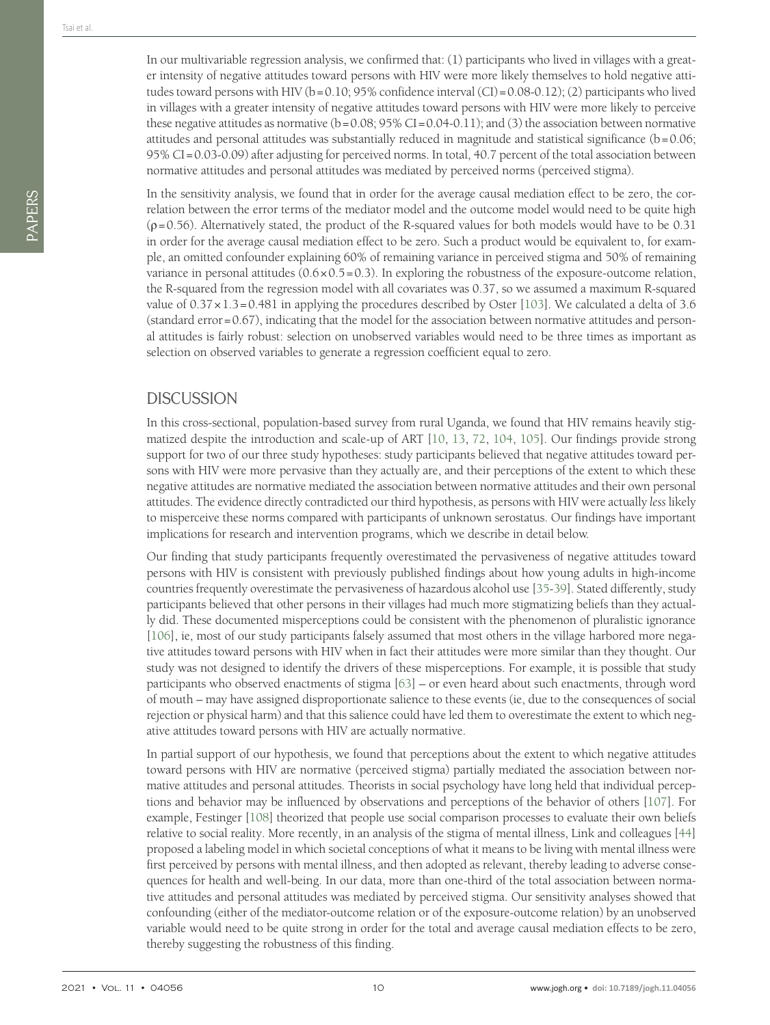PAPERS

In the sensitivity analysis, we found that in order for the average causal mediation effect to be zero, the correlation between the error terms of the mediator model and the outcome model would need to be quite high  $(p=0.56)$ . Alternatively stated, the product of the R-squared values for both models would have to be 0.31 in order for the average causal mediation effect to be zero. Such a product would be equivalent to, for example, an omitted confounder explaining 60% of remaining variance in perceived stigma and 50% of remaining variance in personal attitudes  $(0.6 \times 0.5 = 0.3)$ . In exploring the robustness of the exposure-outcome relation, the R-squared from the regression model with all covariates was 0.37, so we assumed a maximum R-squared value of 0.37×1.3=0.481 in applying the procedures described by Oster [[103\]](#page-15-3). We calculated a delta of 3.6  $(\text{standard error}=0.67)$ , indicating that the model for the association between normative attitudes and personal attitudes is fairly robust: selection on unobserved variables would need to be three times as important as selection on observed variables to generate a regression coefficient equal to zero.

#### **DISCUSSION**

In this cross-sectional, population-based survey from rural Uganda, we found that HIV remains heavily stigmatized despite the introduction and scale-up of ART [\[10](#page-11-8), [13](#page-11-10), [72,](#page-14-2) [104,](#page-15-4) [105\]](#page-15-5). Our findings provide strong support for two of our three study hypotheses: study participants believed that negative attitudes toward persons with HIV were more pervasive than they actually are, and their perceptions of the extent to which these negative attitudes are normative mediated the association between normative attitudes and their own personal attitudes. The evidence directly contradicted our third hypothesis, as persons with HIV were actually *less* likely to misperceive these norms compared with participants of unknown serostatus. Our findings have important implications for research and intervention programs, which we describe in detail below.

Our finding that study participants frequently overestimated the pervasiveness of negative attitudes toward persons with HIV is consistent with previously published findings about how young adults in high-income countries frequently overestimate the pervasiveness of hazardous alcohol use [\[35](#page-12-10)[-39\]](#page-12-15). Stated differently, study participants believed that other persons in their villages had much more stigmatizing beliefs than they actually did. These documented misperceptions could be consistent with the phenomenon of pluralistic ignorance [[106\]](#page-15-6), ie, most of our study participants falsely assumed that most others in the village harbored more negative attitudes toward persons with HIV when in fact their attitudes were more similar than they thought. Our study was not designed to identify the drivers of these misperceptions. For example, it is possible that study participants who observed enactments of stigma [\[63](#page-13-16)] – or even heard about such enactments, through word of mouth – may have assigned disproportionate salience to these events (ie, due to the consequences of social rejection or physical harm) and that this salience could have led them to overestimate the extent to which negative attitudes toward persons with HIV are actually normative.

In partial support of our hypothesis, we found that perceptions about the extent to which negative attitudes toward persons with HIV are normative (perceived stigma) partially mediated the association between normative attitudes and personal attitudes. Theorists in social psychology have long held that individual perceptions and behavior may be influenced by observations and perceptions of the behavior of others [\[107](#page-15-7)]. For example, Festinger [\[108](#page-15-8)] theorized that people use social comparison processes to evaluate their own beliefs relative to social reality. More recently, in an analysis of the stigma of mental illness, Link and colleagues [\[44](#page-13-1)] proposed a labeling model in which societal conceptions of what it means to be living with mental illness were first perceived by persons with mental illness, and then adopted as relevant, thereby leading to adverse consequences for health and well-being. In our data, more than one-third of the total association between normative attitudes and personal attitudes was mediated by perceived stigma. Our sensitivity analyses showed that confounding (either of the mediator-outcome relation or of the exposure-outcome relation) by an unobserved variable would need to be quite strong in order for the total and average causal mediation effects to be zero, thereby suggesting the robustness of this finding.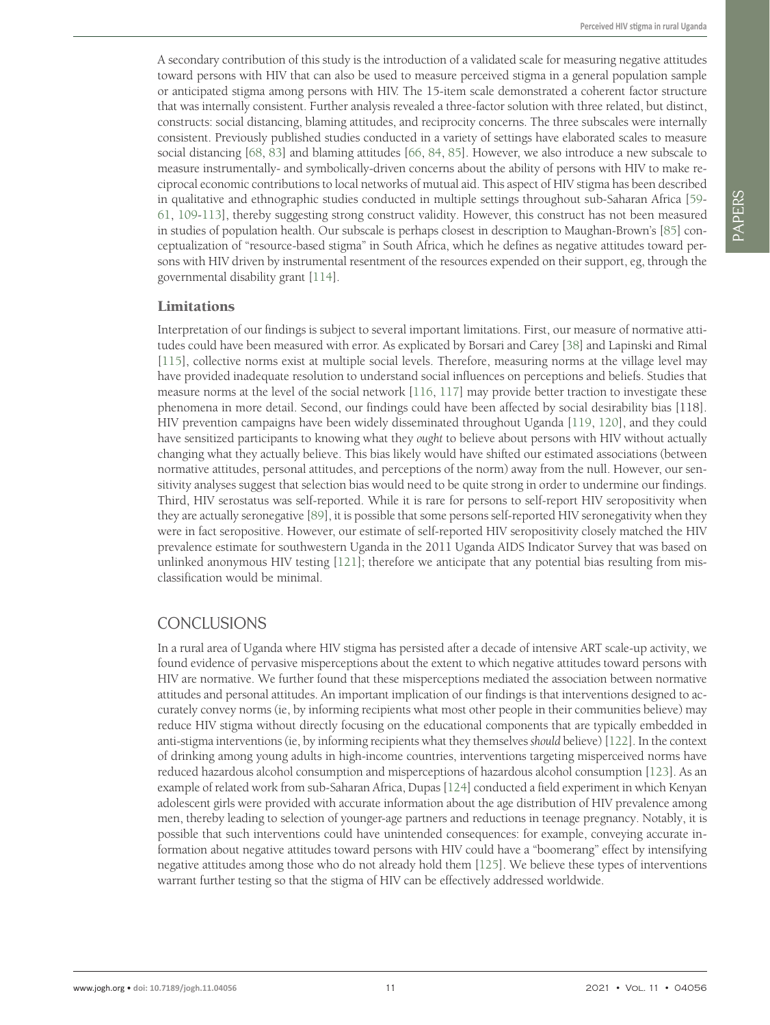A secondary contribution of this study is the introduction of a validated scale for measuring negative attitudes toward persons with HIV that can also be used to measure perceived stigma in a general population sample or anticipated stigma among persons with HIV. The 15-item scale demonstrated a coherent factor structure that was internally consistent. Further analysis revealed a three-factor solution with three related, but distinct, constructs: social distancing, blaming attitudes, and reciprocity concerns. The three subscales were internally consistent. Previously published studies conducted in a variety of settings have elaborated scales to measure social distancing [[68,](#page-13-21) [83](#page-14-12)] and blaming attitudes [\[66](#page-13-20), [84,](#page-14-13) [85](#page-14-14)]. However, we also introduce a new subscale to measure instrumentally- and symbolically-driven concerns about the ability of persons with HIV to make reciprocal economic contributions to local networks of mutual aid. This aspect of HIV stigma has been described in qualitative and ethnographic studies conducted in multiple settings throughout sub-Saharan Africa [[59-](#page-13-13) [61](#page-13-14), [109](#page-15-9)[-113](#page-15-10)], thereby suggesting strong construct validity. However, this construct has not been measured in studies of population health. Our subscale is perhaps closest in description to Maughan-Brown's [[85\]](#page-14-14) conceptualization of "resource-based stigma" in South Africa, which he defines as negative attitudes toward persons with HIV driven by instrumental resentment of the resources expended on their support, eg, through the governmental disability grant [\[114](#page-15-11)].

#### Limitations

Interpretation of our findings is subject to several important limitations. First, our measure of normative attitudes could have been measured with error. As explicated by Borsari and Carey [\[38](#page-12-14)] and Lapinski and Rimal [\[115\]](#page-15-12), collective norms exist at multiple social levels. Therefore, measuring norms at the village level may have provided inadequate resolution to understand social influences on perceptions and beliefs. Studies that measure norms at the level of the social network [\[116,](#page-15-13) [117](#page-15-14)] may provide better traction to investigate these phenomena in more detail. Second, our findings could have been affected by social desirability bias [118]. HIV prevention campaigns have been widely disseminated throughout Uganda [\[119,](#page-15-15) [120\]](#page-15-16), and they could have sensitized participants to knowing what they *ought* to believe about persons with HIV without actually changing what they actually believe. This bias likely would have shifted our estimated associations (between normative attitudes, personal attitudes, and perceptions of the norm) away from the null. However, our sensitivity analyses suggest that selection bias would need to be quite strong in order to undermine our findings. Third, HIV serostatus was self-reported. While it is rare for persons to self-report HIV seropositivity when they are actually seronegative [[89\]](#page-14-17), it is possible that some persons self-reported HIV seronegativity when they were in fact seropositive. However, our estimate of self-reported HIV seropositivity closely matched the HIV prevalence estimate for southwestern Uganda in the 2011 Uganda AIDS Indicator Survey that was based on unlinked anonymous HIV testing [\[121](#page-15-17)]; therefore we anticipate that any potential bias resulting from misclassification would be minimal.

### CONCLUSIONS

In a rural area of Uganda where HIV stigma has persisted after a decade of intensive ART scale-up activity, we found evidence of pervasive misperceptions about the extent to which negative attitudes toward persons with HIV are normative. We further found that these misperceptions mediated the association between normative attitudes and personal attitudes. An important implication of our findings is that interventions designed to accurately convey norms (ie, by informing recipients what most other people in their communities believe) may reduce HIV stigma without directly focusing on the educational components that are typically embedded in anti-stigma interventions (ie, by informing recipients what they themselves *should* believe) [\[122](#page-15-18)]. In the context of drinking among young adults in high-income countries, interventions targeting misperceived norms have reduced hazardous alcohol consumption and misperceptions of hazardous alcohol consumption [\[123\]](#page-15-19). As an example of related work from sub-Saharan Africa, Dupas [\[124](#page-15-20)] conducted a field experiment in which Kenyan adolescent girls were provided with accurate information about the age distribution of HIV prevalence among men, thereby leading to selection of younger-age partners and reductions in teenage pregnancy. Notably, it is possible that such interventions could have unintended consequences: for example, conveying accurate information about negative attitudes toward persons with HIV could have a "boomerang" effect by intensifying negative attitudes among those who do not already hold them [[125\]](#page-15-21). We believe these types of interventions warrant further testing so that the stigma of HIV can be effectively addressed worldwide.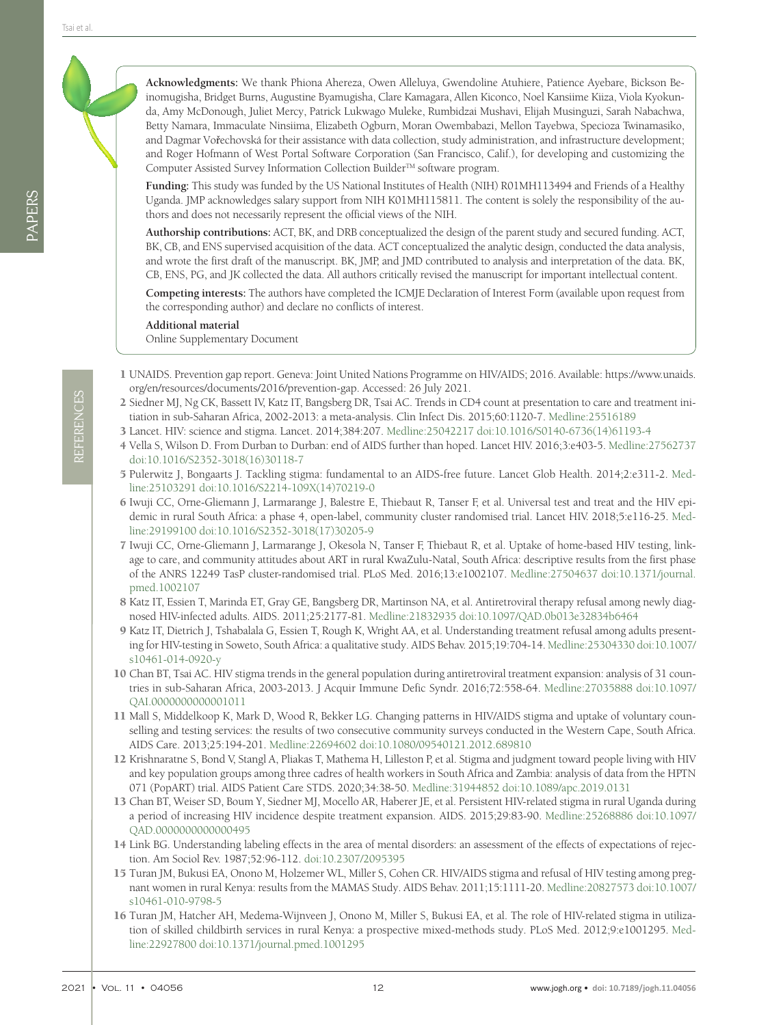**Acknowledgments:** We thank Phiona Ahereza, Owen Alleluya, Gwendoline Atuhiere, Patience Ayebare, Bickson Beinomugisha, Bridget Burns, Augustine Byamugisha, Clare Kamagara, Allen Kiconco, Noel Kansiime Kiiza, Viola Kyokunda, Amy McDonough, Juliet Mercy, Patrick Lukwago Muleke, Rumbidzai Mushavi, Elijah Musinguzi, Sarah Nabachwa, Betty Namara, Immaculate Ninsiima, Elizabeth Ogburn, Moran Owembabazi, Mellon Tayebwa, Specioza Twinamasiko, and Dagmar Vořechovská for their assistance with data collection, study administration, and infrastructure development; and Roger Hofmann of West Portal Software Corporation (San Francisco, Calif.), for developing and customizing the Computer Assisted Survey Information Collection Builder™ software program.

**Funding:** This study was funded by the US National Institutes of Health (NIH) R01MH113494 and Friends of a Healthy Uganda. JMP acknowledges salary support from NIH K01MH115811. The content is solely the responsibility of the authors and does not necessarily represent the official views of the NIH.

**Authorship contributions:** ACT, BK, and DRB conceptualized the design of the parent study and secured funding. ACT, BK, CB, and ENS supervised acquisition of the data. ACT conceptualized the analytic design, conducted the data analysis, and wrote the first draft of the manuscript. BK, JMP, and JMD contributed to analysis and interpretation of the data. BK, CB, ENS, PG, and JK collected the data. All authors critically revised the manuscript for important intellectual content.

**Competing interests:** The authors have completed the ICMJE Declaration of Interest Form (available upon request from the corresponding author) and declare no conflicts of interest.

<span id="page-11-13"></span>**Additional material** [Online Supplementary Document](http://jogh.org/documents/2021/jogh-11-04056-s001.pdf)

- <span id="page-11-0"></span>1 UNAIDS. Prevention gap report. Geneva: Joint United Nations Programme on HIV/AIDS; 2016. Available: [https://www.unaids.](https://www.unaids.org/en/resources/documents/2016/prevention-gap) [org/en/resources/documents/2016/prevention-gap.](https://www.unaids.org/en/resources/documents/2016/prevention-gap) Accessed: 26 July 2021.
- <span id="page-11-1"></span>2 Siedner MJ, Ng CK, Bassett IV, Katz IT, Bangsberg DR, Tsai AC. Trends in CD4 count at presentation to care and treatment initiation in sub-Saharan Africa, 2002-2013: a meta-analysis. Clin Infect Dis. 2015;60:1120-7. [Medline:25516189](https://www.ncbi.nlm.nih.gov/entrez/query.fcgi?cmd=Retrieve&db=PubMed&list_uids=25516189&dopt=Abstract)
- <span id="page-11-2"></span>3 Lancet. HIV: science and stigma. Lancet. 2014;384:207. [Medline:25042217](https://www.ncbi.nlm.nih.gov/entrez/query.fcgi?cmd=Retrieve&db=PubMed&list_uids=25042217&dopt=Abstract) [doi:10.1016/S0140-6736\(14\)61193-4](https://doi.org/10.1016/S0140-6736(14)61193-4)
- 4 Vella S, Wilson D. From Durban to Durban: end of AIDS further than hoped. Lancet HIV. 2016;3:e403-5. [Medline:27562737](https://www.ncbi.nlm.nih.gov/entrez/query.fcgi?cmd=Retrieve&db=PubMed&list_uids=27562737&dopt=Abstract) [doi:10.1016/S2352-3018\(16\)30118-7](https://doi.org/10.1016/S2352-3018(16)30118-7)
- <span id="page-11-3"></span>5 Pulerwitz J, Bongaarts J. Tackling stigma: fundamental to an AIDS-free future. Lancet Glob Health. 2014;2:e311-2. [Med](https://www.ncbi.nlm.nih.gov/entrez/query.fcgi?cmd=Retrieve&db=PubMed&list_uids=25103291&dopt=Abstract)[line:25103291](https://www.ncbi.nlm.nih.gov/entrez/query.fcgi?cmd=Retrieve&db=PubMed&list_uids=25103291&dopt=Abstract) [doi:10.1016/S2214-109X\(14\)70219-0](https://doi.org/10.1016/S2214-109X(14)70219-0)
- <span id="page-11-4"></span>6 Iwuji CC, Orne-Gliemann J, Larmarange J, Balestre E, Thiebaut R, Tanser F, et al. Universal test and treat and the HIV epidemic in rural South Africa: a phase 4, open-label, community cluster randomised trial. Lancet HIV. 2018;5:e116-25. [Med](https://www.ncbi.nlm.nih.gov/entrez/query.fcgi?cmd=Retrieve&db=PubMed&list_uids=29199100&dopt=Abstract)[line:29199100](https://www.ncbi.nlm.nih.gov/entrez/query.fcgi?cmd=Retrieve&db=PubMed&list_uids=29199100&dopt=Abstract) [doi:10.1016/S2352-3018\(17\)30205-9](https://doi.org/10.1016/S2352-3018(17)30205-9)
- <span id="page-11-5"></span>7 Iwuji CC, Orne-Gliemann J, Larmarange J, Okesola N, Tanser F, Thiebaut R, et al. Uptake of home-based HIV testing, linkage to care, and community attitudes about ART in rural KwaZulu-Natal, South Africa: descriptive results from the first phase of the ANRS 12249 TasP cluster-randomised trial. PLoS Med. 2016;13:e1002107. [Medline:27504637](https://www.ncbi.nlm.nih.gov/entrez/query.fcgi?cmd=Retrieve&db=PubMed&list_uids=27504637&dopt=Abstract) [doi:10.1371/journal.](https://doi.org/10.1371/journal.pmed.1002107) [pmed.1002107](https://doi.org/10.1371/journal.pmed.1002107)
- <span id="page-11-6"></span>8 Katz IT, Essien T, Marinda ET, Gray GE, Bangsberg DR, Martinson NA, et al. Antiretroviral therapy refusal among newly diagnosed HIV-infected adults. AIDS. 2011;25:2177-81. [Medline:21832935](https://www.ncbi.nlm.nih.gov/entrez/query.fcgi?cmd=Retrieve&db=PubMed&list_uids=21832935&dopt=Abstract) [doi:10.1097/QAD.0b013e32834b6464](https://doi.org/10.1097/QAD.0b013e32834b6464)
- <span id="page-11-7"></span>9 Katz IT, Dietrich J, Tshabalala G, Essien T, Rough K, Wright AA, et al. Understanding treatment refusal among adults presenting for HIV-testing in Soweto, South Africa: a qualitative study. AIDS Behav. 2015;19:704-14. [Medline:25304330](https://www.ncbi.nlm.nih.gov/entrez/query.fcgi?cmd=Retrieve&db=PubMed&list_uids=25304330&dopt=Abstract) [doi:10.1007/](https://doi.org/10.1007/s10461-014-0920-y) [s10461-014-0920-y](https://doi.org/10.1007/s10461-014-0920-y)
- <span id="page-11-8"></span>10 Chan BT, Tsai AC. HIV stigma trends in the general population during antiretroviral treatment expansion: analysis of 31 countries in sub-Saharan Africa, 2003-2013. J Acquir Immune Defic Syndr. 2016;72:558-64. [Medline:27035888](https://www.ncbi.nlm.nih.gov/entrez/query.fcgi?cmd=Retrieve&db=PubMed&list_uids=27035888&dopt=Abstract) [doi:10.1097/](https://doi.org/10.1097/QAI.0000000000001011) [QAI.0000000000001011](https://doi.org/10.1097/QAI.0000000000001011)
- 11 Mall S, Middelkoop K, Mark D, Wood R, Bekker LG. Changing patterns in HIV/AIDS stigma and uptake of voluntary counselling and testing services: the results of two consecutive community surveys conducted in the Western Cape, South Africa. AIDS Care. 2013;25:194-201. [Medline:22694602](https://www.ncbi.nlm.nih.gov/entrez/query.fcgi?cmd=Retrieve&db=PubMed&list_uids=22694602&dopt=Abstract) [doi:10.1080/09540121.2012.689810](https://doi.org/10.1080/09540121.2012.689810)
- <span id="page-11-9"></span>12 Krishnaratne S, Bond V, Stangl A, Pliakas T, Mathema H, Lilleston P, et al. Stigma and judgment toward people living with HIV and key population groups among three cadres of health workers in South Africa and Zambia: analysis of data from the HPTN 071 (PopART) trial. AIDS Patient Care STDS. 2020;34:38-50. [Medline:31944852](https://www.ncbi.nlm.nih.gov/entrez/query.fcgi?cmd=Retrieve&db=PubMed&list_uids=31944852&dopt=Abstract) [doi:10.1089/apc.2019.0131](https://doi.org/10.1089/apc.2019.0131)
- <span id="page-11-10"></span>13 Chan BT, Weiser SD, Boum Y, Siedner MJ, Mocello AR, Haberer JE, et al. Persistent HIV-related stigma in rural Uganda during a period of increasing HIV incidence despite treatment expansion. AIDS. 2015;29:83-90. [Medline:25268886](https://www.ncbi.nlm.nih.gov/entrez/query.fcgi?cmd=Retrieve&db=PubMed&list_uids=25268886&dopt=Abstract) [doi:10.1097/](https://doi.org/10.1097/QAD.0000000000000495) [QAD.0000000000000495](https://doi.org/10.1097/QAD.0000000000000495)
- <span id="page-11-11"></span>14 Link BG. Understanding labeling effects in the area of mental disorders: an assessment of the effects of expectations of rejection. Am Sociol Rev. 1987;52:96-112. [doi:10.2307/2095395](https://doi.org/10.2307/2095395)
- <span id="page-11-12"></span>15 Turan JM, Bukusi EA, Onono M, Holzemer WL, Miller S, Cohen CR. HIV/AIDS stigma and refusal of HIV testing among pregnant women in rural Kenya: results from the MAMAS Study. AIDS Behav. 2011;15:1111-20. [Medline:20827573](https://www.ncbi.nlm.nih.gov/entrez/query.fcgi?cmd=Retrieve&db=PubMed&list_uids=20827573&dopt=Abstract) [doi:10.1007/](https://doi.org/10.1007/s10461-010-9798-5) [s10461-010-9798-5](https://doi.org/10.1007/s10461-010-9798-5)
- 16 Turan JM, Hatcher AH, Medema-Wijnveen J, Onono M, Miller S, Bukusi EA, et al. The role of HIV-related stigma in utilization of skilled childbirth services in rural Kenya: a prospective mixed-methods study. PLoS Med. 2012;9:e1001295. [Med](https://www.ncbi.nlm.nih.gov/entrez/query.fcgi?cmd=Retrieve&db=PubMed&list_uids=22927800&dopt=Abstract)[line:22927800](https://www.ncbi.nlm.nih.gov/entrez/query.fcgi?cmd=Retrieve&db=PubMed&list_uids=22927800&dopt=Abstract) [doi:10.1371/journal.pmed.1001295](https://doi.org/10.1371/journal.pmed.1001295)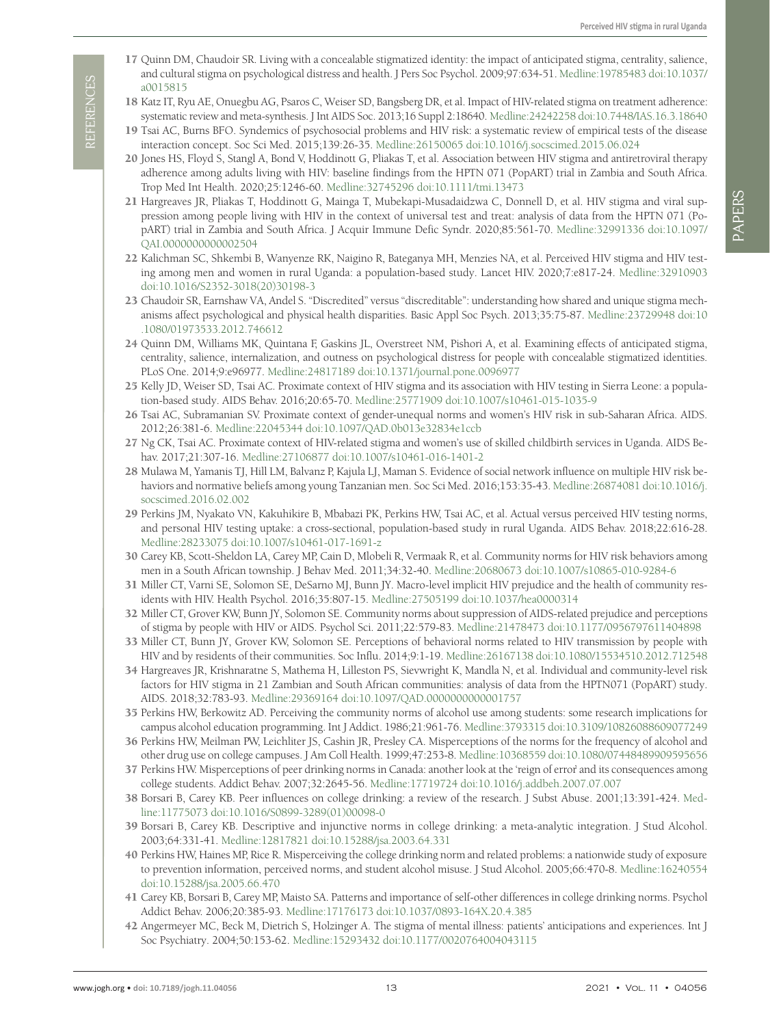- <span id="page-12-8"></span>17 Quinn DM, Chaudoir SR. Living with a concealable stigmatized identity: the impact of anticipated stigma, centrality, salience, and cultural stigma on psychological distress and health. J Pers Soc Psychol. 2009;97:634-51. [Medline:19785483](https://www.ncbi.nlm.nih.gov/entrez/query.fcgi?cmd=Retrieve&db=PubMed&list_uids=19785483&dopt=Abstract) [doi:10.1037/](https://doi.org/10.1037/a0015815) [a0015815](https://doi.org/10.1037/a0015815)
- 18 Katz IT, Ryu AE, Onuegbu AG, Psaros C, Weiser SD, Bangsberg DR, et al. Impact of HIV-related stigma on treatment adherence: systematic review and meta-synthesis. J Int AIDS Soc. 2013;16 Suppl 2:18640. [Medline:24242258](https://www.ncbi.nlm.nih.gov/entrez/query.fcgi?cmd=Retrieve&db=PubMed&list_uids=24242258&dopt=Abstract) [doi:10.7448/IAS.16.3.18640](https://doi.org/10.7448/IAS.16.3.18640)
- 19 Tsai AC, Burns BFO. Syndemics of psychosocial problems and HIV risk: a systematic review of empirical tests of the disease interaction concept. Soc Sci Med. 2015;139:26-35. [Medline:26150065](https://www.ncbi.nlm.nih.gov/entrez/query.fcgi?cmd=Retrieve&db=PubMed&list_uids=26150065&dopt=Abstract) [doi:10.1016/j.socscimed.2015.06.024](https://doi.org/10.1016/j.socscimed.2015.06.024)
- 20 Jones HS, Floyd S, Stangl A, Bond V, Hoddinott G, Pliakas T, et al. Association between HIV stigma and antiretroviral therapy adherence among adults living with HIV: baseline findings from the HPTN 071 (PopART) trial in Zambia and South Africa. Trop Med Int Health. 2020;25:1246-60. [Medline:32745296](https://www.ncbi.nlm.nih.gov/entrez/query.fcgi?cmd=Retrieve&db=PubMed&list_uids=32745296&dopt=Abstract) [doi:10.1111/tmi.13473](https://doi.org/10.1111/tmi.13473)
- 21 Hargreaves JR, Pliakas T, Hoddinott G, Mainga T, Mubekapi-Musadaidzwa C, Donnell D, et al. HIV stigma and viral suppression among people living with HIV in the context of universal test and treat: analysis of data from the HPTN 071 (PopART) trial in Zambia and South Africa. J Acquir Immune Defic Syndr. 2020;85:561-70. [Medline:32991336](https://www.ncbi.nlm.nih.gov/entrez/query.fcgi?cmd=Retrieve&db=PubMed&list_uids=32991336&dopt=Abstract) [doi:10.1097/](https://doi.org/10.1097/QAI.0000000000002504) [QAI.0000000000002504](https://doi.org/10.1097/QAI.0000000000002504)
- <span id="page-12-0"></span>22 Kalichman SC, Shkembi B, Wanyenze RK, Naigino R, Bateganya MH, Menzies NA, et al. Perceived HIV stigma and HIV testing among men and women in rural Uganda: a population-based study. Lancet HIV. 2020;7:e817-24. [Medline:32910903](https://www.ncbi.nlm.nih.gov/entrez/query.fcgi?cmd=Retrieve&db=PubMed&list_uids=32910903&dopt=Abstract) [doi:10.1016/S2352-3018\(20\)30198-3](https://doi.org/10.1016/S2352-3018(20)30198-3)
- <span id="page-12-1"></span>23 Chaudoir SR, Earnshaw VA, Andel S. "Discredited" versus "discreditable": understanding how shared and unique stigma mechanisms affect psychological and physical health disparities. Basic Appl Soc Psych. 2013;35:75-87. [Medline:23729948](https://www.ncbi.nlm.nih.gov/entrez/query.fcgi?cmd=Retrieve&db=PubMed&list_uids=23729948&dopt=Abstract) [doi:10](https://doi.org/10.1080/01973533.2012.746612) [.1080/01973533.2012.746612](https://doi.org/10.1080/01973533.2012.746612)
- <span id="page-12-2"></span>24 Quinn DM, Williams MK, Quintana F, Gaskins JL, Overstreet NM, Pishori A, et al. Examining effects of anticipated stigma, centrality, salience, internalization, and outness on psychological distress for people with concealable stigmatized identities. PLoS One. 2014;9:e96977. [Medline:24817189](https://www.ncbi.nlm.nih.gov/entrez/query.fcgi?cmd=Retrieve&db=PubMed&list_uids=24817189&dopt=Abstract) [doi:10.1371/journal.pone.0096977](https://doi.org/10.1371/journal.pone.0096977)
- <span id="page-12-3"></span>25 Kelly JD, Weiser SD, Tsai AC. Proximate context of HIV stigma and its association with HIV testing in Sierra Leone: a population-based study. AIDS Behav. 2016;20:65-70. [Medline:25771909](https://www.ncbi.nlm.nih.gov/entrez/query.fcgi?cmd=Retrieve&db=PubMed&list_uids=25771909&dopt=Abstract) [doi:10.1007/s10461-015-1035-9](https://doi.org/10.1007/s10461-015-1035-9)
- 26 Tsai AC, Subramanian SV. Proximate context of gender-unequal norms and women's HIV risk in sub-Saharan Africa. AIDS. 2012;26:381-6. [Medline:22045344](https://www.ncbi.nlm.nih.gov/entrez/query.fcgi?cmd=Retrieve&db=PubMed&list_uids=22045344&dopt=Abstract) [doi:10.1097/QAD.0b013e32834e1ccb](https://doi.org/10.1097/QAD.0b013e32834e1ccb)
- 27 Ng CK, Tsai AC. Proximate context of HIV-related stigma and women's use of skilled childbirth services in Uganda. AIDS Behav. 2017;21:307-16. [Medline:27106877](https://www.ncbi.nlm.nih.gov/entrez/query.fcgi?cmd=Retrieve&db=PubMed&list_uids=27106877&dopt=Abstract) [doi:10.1007/s10461-016-1401-2](https://doi.org/10.1007/s10461-016-1401-2)
- 28 Mulawa M, Yamanis TJ, Hill LM, Balvanz P, Kajula LJ, Maman S. Evidence of social network influence on multiple HIV risk behaviors and normative beliefs among young Tanzanian men. Soc Sci Med. 2016;153:35-43. [Medline:26874081](https://www.ncbi.nlm.nih.gov/entrez/query.fcgi?cmd=Retrieve&db=PubMed&list_uids=26874081&dopt=Abstract) [doi:10.1016/j.](https://doi.org/10.1016/j.socscimed.2016.02.002) [socscimed.2016.02.002](https://doi.org/10.1016/j.socscimed.2016.02.002)
- <span id="page-12-5"></span>29 Perkins JM, Nyakato VN, Kakuhikire B, Mbabazi PK, Perkins HW, Tsai AC, et al. Actual versus perceived HIV testing norms, and personal HIV testing uptake: a cross-sectional, population-based study in rural Uganda. AIDS Behav. 2018;22:616-28. [Medline:28233075](https://www.ncbi.nlm.nih.gov/entrez/query.fcgi?cmd=Retrieve&db=PubMed&list_uids=28233075&dopt=Abstract) [doi:10.1007/s10461-017-1691-z](https://doi.org/10.1007/s10461-017-1691-z)
- <span id="page-12-17"></span>30 Carey KB, Scott-Sheldon LA, Carey MP, Cain D, Mlobeli R, Vermaak R, et al. Community norms for HIV risk behaviors among men in a South African township. J Behav Med. 2011;34:32-40. [Medline:20680673](https://www.ncbi.nlm.nih.gov/entrez/query.fcgi?cmd=Retrieve&db=PubMed&list_uids=20680673&dopt=Abstract) [doi:10.1007/s10865-010-9284-6](https://doi.org/10.1007/s10865-010-9284-6)
- <span id="page-12-4"></span>31 Miller CT, Varni SE, Solomon SE, DeSarno MJ, Bunn JY. Macro-level implicit HIV prejudice and the health of community residents with HIV. Health Psychol. 2016;35:807-15. [Medline:27505199](https://www.ncbi.nlm.nih.gov/entrez/query.fcgi?cmd=Retrieve&db=PubMed&list_uids=27505199&dopt=Abstract) [doi:10.1037/hea0000314](https://doi.org/10.1037/hea0000314)
- <span id="page-12-6"></span>32 Miller CT, Grover KW, Bunn JY, Solomon SE. Community norms about suppression of AIDS-related prejudice and perceptions of stigma by people with HIV or AIDS. Psychol Sci. 2011;22:579-83. [Medline:21478473](https://www.ncbi.nlm.nih.gov/entrez/query.fcgi?cmd=Retrieve&db=PubMed&list_uids=21478473&dopt=Abstract) [doi:10.1177/0956797611404898](https://doi.org/10.1177/0956797611404898)
- <span id="page-12-7"></span>33 Miller CT, Bunn JY, Grover KW, Solomon SE. Perceptions of behavioral norms related to HIV transmission by people with HIV and by residents of their communities. Soc Influ. 2014;9:1-19. [Medline:26167138](https://www.ncbi.nlm.nih.gov/entrez/query.fcgi?cmd=Retrieve&db=PubMed&list_uids=26167138&dopt=Abstract) [doi:10.1080/15534510.2012.712548](https://doi.org/10.1080/15534510.2012.712548)
- <span id="page-12-9"></span>34 Hargreaves JR, Krishnaratne S, Mathema H, Lilleston PS, Sievwright K, Mandla N, et al. Individual and community-level risk factors for HIV stigma in 21 Zambian and South African communities: analysis of data from the HPTN071 (PopART) study. AIDS. 2018;32:783-93. [Medline:29369164](https://www.ncbi.nlm.nih.gov/entrez/query.fcgi?cmd=Retrieve&db=PubMed&list_uids=29369164&dopt=Abstract) [doi:10.1097/QAD.0000000000001757](https://doi.org/10.1097/QAD.0000000000001757)
- <span id="page-12-10"></span>35 Perkins HW, Berkowitz AD. Perceiving the community norms of alcohol use among students: some research implications for campus alcohol education programming. Int J Addict. 1986;21:961-76. [Medline:3793315](https://www.ncbi.nlm.nih.gov/entrez/query.fcgi?cmd=Retrieve&db=PubMed&list_uids=3793315&dopt=Abstract) [doi:10.3109/10826088609077249](https://doi.org/10.3109/10826088609077249)
- 36 Perkins HW, Meilman PW, Leichliter JS, Cashin JR, Presley CA. Misperceptions of the norms for the frequency of alcohol and other drug use on college campuses. J Am Coll Health. 1999;47:253-8. [Medline:10368559](https://www.ncbi.nlm.nih.gov/entrez/query.fcgi?cmd=Retrieve&db=PubMed&list_uids=10368559&dopt=Abstract) [doi:10.1080/07448489909595656](https://doi.org/10.1080/07448489909595656)
- <span id="page-12-13"></span>37 Perkins HW. Misperceptions of peer drinking norms in Canada: another look at the 'reign of error' and its consequences among college students. Addict Behav. 2007;32:2645-56. [Medline:17719724](https://www.ncbi.nlm.nih.gov/entrez/query.fcgi?cmd=Retrieve&db=PubMed&list_uids=17719724&dopt=Abstract) [doi:10.1016/j.addbeh.2007.07.007](https://doi.org/10.1016/j.addbeh.2007.07.007)
- <span id="page-12-14"></span>38 Borsari B, Carey KB. Peer influences on college drinking: a review of the research. J Subst Abuse. 2001;13:391-424. [Med](https://www.ncbi.nlm.nih.gov/entrez/query.fcgi?cmd=Retrieve&db=PubMed&list_uids=11775073&dopt=Abstract)[line:11775073](https://www.ncbi.nlm.nih.gov/entrez/query.fcgi?cmd=Retrieve&db=PubMed&list_uids=11775073&dopt=Abstract) [doi:10.1016/S0899-3289\(01\)00098-0](https://doi.org/10.1016/S0899-3289(01)00098-0)
- <span id="page-12-15"></span>39 Borsari B, Carey KB. Descriptive and injunctive norms in college drinking: a meta-analytic integration. J Stud Alcohol. 2003;64:331-41. [Medline:12817821](https://www.ncbi.nlm.nih.gov/entrez/query.fcgi?cmd=Retrieve&db=PubMed&list_uids=12817821&dopt=Abstract) [doi:10.15288/jsa.2003.64.331](https://doi.org/10.15288/jsa.2003.64.331)
- <span id="page-12-16"></span>40 Perkins HW, Haines MP, Rice R. Misperceiving the college drinking norm and related problems: a nationwide study of exposure to prevention information, perceived norms, and student alcohol misuse. J Stud Alcohol. 2005;66:470-8. [Medline:16240554](https://www.ncbi.nlm.nih.gov/entrez/query.fcgi?cmd=Retrieve&db=PubMed&list_uids=16240554&dopt=Abstract) [doi:10.15288/jsa.2005.66.470](https://doi.org/10.15288/jsa.2005.66.470)
- <span id="page-12-11"></span>41 Carey KB, Borsari B, Carey MP, Maisto SA. Patterns and importance of self-other differences in college drinking norms. Psychol Addict Behav. 2006;20:385-93. [Medline:17176173](https://www.ncbi.nlm.nih.gov/entrez/query.fcgi?cmd=Retrieve&db=PubMed&list_uids=17176173&dopt=Abstract) [doi:10.1037/0893-164X.20.4.385](https://doi.org/10.1037/0893-164X.20.4.385)
- <span id="page-12-12"></span>42 Angermeyer MC, Beck M, Dietrich S, Holzinger A. The stigma of mental illness: patients' anticipations and experiences. Int J Soc Psychiatry. 2004;50:153-62. [Medline:15293432](https://www.ncbi.nlm.nih.gov/entrez/query.fcgi?cmd=Retrieve&db=PubMed&list_uids=15293432&dopt=Abstract) [doi:10.1177/0020764004043115](https://doi.org/10.1177/0020764004043115)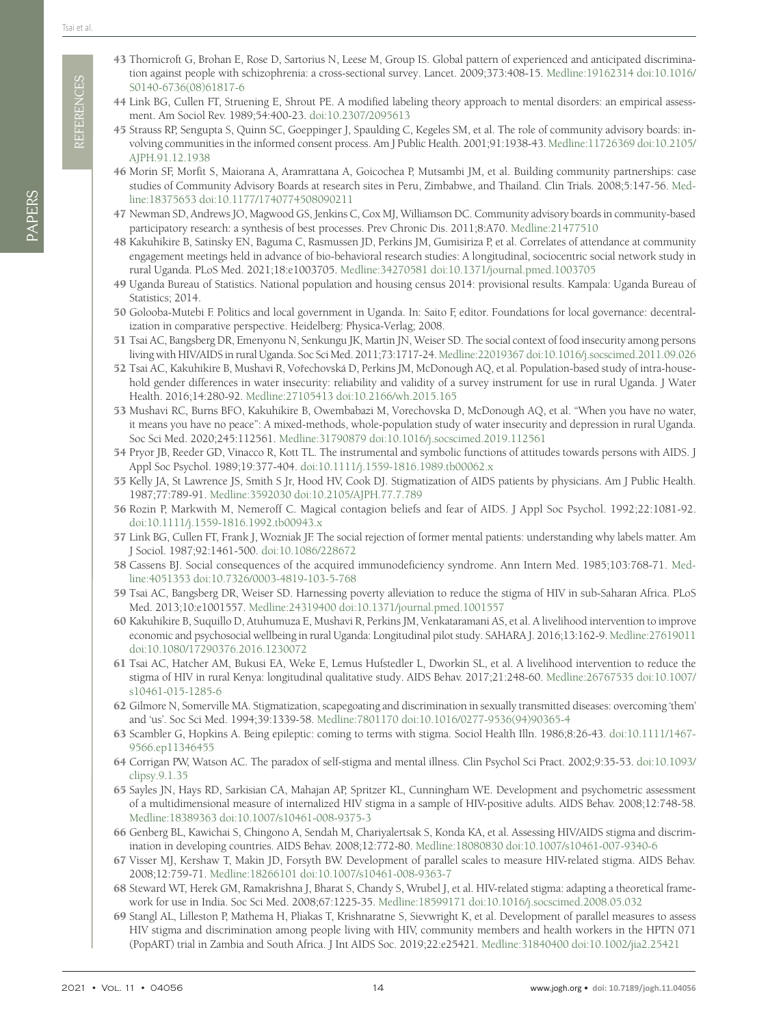**REFERENCES** REFERENCES

- 
- PAPERS
- <span id="page-13-0"></span>43 Thornicroft G, Brohan E, Rose D, Sartorius N, Leese M, Group IS. Global pattern of experienced and anticipated discrimination against people with schizophrenia: a cross-sectional survey. Lancet. 2009;373:408-15. [Medline:19162314](https://www.ncbi.nlm.nih.gov/entrez/query.fcgi?cmd=Retrieve&db=PubMed&list_uids=19162314&dopt=Abstract) [doi:10.1016/](https://doi.org/10.1016/S0140-6736(08)61817-6) [S0140-6736\(08\)61817-6](https://doi.org/10.1016/S0140-6736(08)61817-6)
- <span id="page-13-1"></span>44 Link BG, Cullen FT, Struening E, Shrout PE. A modified labeling theory approach to mental disorders: an empirical assessment. Am Sociol Rev. 1989;54:400-23. [doi:10.2307/2095613](https://doi.org/10.2307/2095613)
- <span id="page-13-2"></span>45 Strauss RP, Sengupta S, Quinn SC, Goeppinger J, Spaulding C, Kegeles SM, et al. The role of community advisory boards: involving communities in the informed consent process. Am J Public Health. 2001;91:1938-43. [Medline:11726369](https://www.ncbi.nlm.nih.gov/entrez/query.fcgi?cmd=Retrieve&db=PubMed&list_uids=11726369&dopt=Abstract) [doi:10.2105/](https://doi.org/10.2105/AJPH.91.12.1938) [AJPH.91.12.1938](https://doi.org/10.2105/AJPH.91.12.1938)
- 46 Morin SF, Morfit S, Maiorana A, Aramrattana A, Goicochea P, Mutsambi JM, et al. Building community partnerships: case studies of Community Advisory Boards at research sites in Peru, Zimbabwe, and Thailand. Clin Trials. 2008;5:147-56. [Med](https://www.ncbi.nlm.nih.gov/entrez/query.fcgi?cmd=Retrieve&db=PubMed&list_uids=18375653&dopt=Abstract)[line:18375653](https://www.ncbi.nlm.nih.gov/entrez/query.fcgi?cmd=Retrieve&db=PubMed&list_uids=18375653&dopt=Abstract) [doi:10.1177/1740774508090211](https://doi.org/10.1177/1740774508090211)
- <span id="page-13-3"></span>47 Newman SD, Andrews JO, Magwood GS, Jenkins C, Cox MJ, Williamson DC. Community advisory boards in community-based participatory research: a synthesis of best processes. Prev Chronic Dis. 2011;8:A70. [Medline:21477510](https://www.ncbi.nlm.nih.gov/entrez/query.fcgi?cmd=Retrieve&db=PubMed&list_uids=21477510&dopt=Abstract)
- <span id="page-13-4"></span>48 Kakuhikire B, Satinsky EN, Baguma C, Rasmussen JD, Perkins JM, Gumisiriza P, et al. Correlates of attendance at community engagement meetings held in advance of bio-behavioral research studies: A longitudinal, sociocentric social network study in rural Uganda. PLoS Med. 2021;18:e1003705. [Medline:34270581](https://www.ncbi.nlm.nih.gov/entrez/query.fcgi?cmd=Retrieve&db=PubMed&list_uids=34270581&dopt=Abstract) [doi:10.1371/journal.pmed.1003705](https://doi.org/10.1371/journal.pmed.1003705)
- <span id="page-13-5"></span>49 Uganda Bureau of Statistics. National population and housing census 2014: provisional results. Kampala: Uganda Bureau of Statistics; 2014.
- <span id="page-13-6"></span>50 Golooba-Mutebi F. Politics and local government in Uganda. In: Saito F, editor. Foundations for local governance: decentralization in comparative perspective. Heidelberg: Physica-Verlag; 2008.
- <span id="page-13-7"></span>51 Tsai AC, Bangsberg DR, Emenyonu N, Senkungu JK, Martin JN, Weiser SD. The social context of food insecurity among persons living with HIV/AIDS in rural Uganda. Soc Sci Med. 2011;73:1717-24. [Medline:22019367](https://www.ncbi.nlm.nih.gov/entrez/query.fcgi?cmd=Retrieve&db=PubMed&list_uids=22019367&dopt=Abstract) [doi:10.1016/j.socscimed.2011.09.026](https://doi.org/10.1016/j.socscimed.2011.09.026)
- 52 Tsai AC, Kakuhikire B, Mushavi R, Vořechovská D, Perkins JM, McDonough AQ, et al. Population-based study of intra-household gender differences in water insecurity: reliability and validity of a survey instrument for use in rural Uganda. J Water Health. 2016;14:280-92. [Medline:27105413](https://www.ncbi.nlm.nih.gov/entrez/query.fcgi?cmd=Retrieve&db=PubMed&list_uids=27105413&dopt=Abstract) [doi:10.2166/wh.2015.165](https://doi.org/10.2166/wh.2015.165)
- <span id="page-13-8"></span>53 Mushavi RC, Burns BFO, Kakuhikire B, Owembabazi M, Vorechovska D, McDonough AQ, et al. "When you have no water, it means you have no peace": A mixed-methods, whole-population study of water insecurity and depression in rural Uganda. Soc Sci Med. 2020;245:112561. [Medline:31790879](https://www.ncbi.nlm.nih.gov/entrez/query.fcgi?cmd=Retrieve&db=PubMed&list_uids=31790879&dopt=Abstract) [doi:10.1016/j.socscimed.2019.112561](https://doi.org/10.1016/j.socscimed.2019.112561)
- <span id="page-13-9"></span>54 Pryor JB, Reeder GD, Vinacco R, Kott TL. The instrumental and symbolic functions of attitudes towards persons with AIDS. J Appl Soc Psychol. 1989;19:377-404. [doi:10.1111/j.1559-1816.1989.tb00062.x](https://doi.org/10.1111/j.1559-1816.1989.tb00062.x)
- <span id="page-13-10"></span>55 Kelly JA, St Lawrence JS, Smith S Jr, Hood HV, Cook DJ. Stigmatization of AIDS patients by physicians. Am J Public Health. 1987;77:789-91. [Medline:3592030](https://www.ncbi.nlm.nih.gov/entrez/query.fcgi?cmd=Retrieve&db=PubMed&list_uids=3592030&dopt=Abstract) [doi:10.2105/AJPH.77.7.789](https://doi.org/10.2105/AJPH.77.7.789)

<span id="page-13-11"></span>56 Rozin P, Markwith M, Nemeroff C. Magical contagion beliefs and fear of AIDS. J Appl Soc Psychol. 1992;22:1081-92. [doi:10.1111/j.1559-1816.1992.tb00943.x](https://doi.org/10.1111/j.1559-1816.1992.tb00943.x)

- <span id="page-13-12"></span>57 Link BG, Cullen FT, Frank J, Wozniak JF. The social rejection of former mental patients: understanding why labels matter. Am J Sociol. 1987;92:1461-500. [doi:10.1086/228672](https://doi.org/10.1086/228672)
- 58 Cassens BJ. Social consequences of the acquired immunodeficiency syndrome. Ann Intern Med. 1985;103:768-71. [Med](https://www.ncbi.nlm.nih.gov/entrez/query.fcgi?cmd=Retrieve&db=PubMed&list_uids=4051353&dopt=Abstract)[line:4051353](https://www.ncbi.nlm.nih.gov/entrez/query.fcgi?cmd=Retrieve&db=PubMed&list_uids=4051353&dopt=Abstract) [doi:10.7326/0003-4819-103-5-768](https://doi.org/10.7326/0003-4819-103-5-768)
- <span id="page-13-13"></span>59 Tsai AC, Bangsberg DR, Weiser SD. Harnessing poverty alleviation to reduce the stigma of HIV in sub-Saharan Africa. PLoS Med. 2013;10:e1001557. [Medline:24319400](https://www.ncbi.nlm.nih.gov/entrez/query.fcgi?cmd=Retrieve&db=PubMed&list_uids=24319400&dopt=Abstract) [doi:10.1371/journal.pmed.1001557](https://doi.org/10.1371/journal.pmed.1001557)
- 60 Kakuhikire B, Suquillo D, Atuhumuza E, Mushavi R, Perkins JM, Venkataramani AS, et al. A livelihood intervention to improve economic and psychosocial wellbeing in rural Uganda: Longitudinal pilot study. SAHARA J. 2016;13:162-9. [Medline:27619011](https://www.ncbi.nlm.nih.gov/entrez/query.fcgi?cmd=Retrieve&db=PubMed&list_uids=27619011&dopt=Abstract) [doi:10.1080/17290376.2016.1230072](https://doi.org/10.1080/17290376.2016.1230072)
- <span id="page-13-14"></span>61 Tsai AC, Hatcher AM, Bukusi EA, Weke E, Lemus Hufstedler L, Dworkin SL, et al. A livelihood intervention to reduce the stigma of HIV in rural Kenya: longitudinal qualitative study. AIDS Behav. 2017;21:248-60. [Medline:26767535](https://www.ncbi.nlm.nih.gov/entrez/query.fcgi?cmd=Retrieve&db=PubMed&list_uids=26767535&dopt=Abstract) [doi:10.1007/](https://doi.org/10.1007/s10461-015-1285-6) [s10461-015-1285-6](https://doi.org/10.1007/s10461-015-1285-6)
- <span id="page-13-15"></span>62 Gilmore N, Somerville MA. Stigmatization, scapegoating and discrimination in sexually transmitted diseases: overcoming 'them' and 'us'. Soc Sci Med. 1994;39:1339-58. [Medline:7801170](https://www.ncbi.nlm.nih.gov/entrez/query.fcgi?cmd=Retrieve&db=PubMed&list_uids=7801170&dopt=Abstract) [doi:10.1016/0277-9536\(94\)90365-4](https://doi.org/10.1016/0277-9536(94)90365-4)
- <span id="page-13-16"></span>63 Scambler G, Hopkins A. Being epileptic: coming to terms with stigma. Sociol Health Illn. 1986;8:26-43. [doi:10.1111/1467-](https://doi.org/10.1111/1467-9566.ep11346455) [9566.ep11346455](https://doi.org/10.1111/1467-9566.ep11346455)
- 64 Corrigan PW, Watson AC. The paradox of self-stigma and mental illness. Clin Psychol Sci Pract. 2002;9:35-53. [doi:10.1093/](https://doi.org/10.1093/clipsy.9.1.35) [clipsy.9.1.35](https://doi.org/10.1093/clipsy.9.1.35)
- <span id="page-13-17"></span>65 Sayles JN, Hays RD, Sarkisian CA, Mahajan AP, Spritzer KL, Cunningham WE. Development and psychometric assessment of a multidimensional measure of internalized HIV stigma in a sample of HIV-positive adults. AIDS Behav. 2008;12:748-58. [Medline:18389363](https://www.ncbi.nlm.nih.gov/entrez/query.fcgi?cmd=Retrieve&db=PubMed&list_uids=18389363&dopt=Abstract) [doi:10.1007/s10461-008-9375-3](https://doi.org/10.1007/s10461-008-9375-3)
- <span id="page-13-20"></span>66 Genberg BL, Kawichai S, Chingono A, Sendah M, Chariyalertsak S, Konda KA, et al. Assessing HIV/AIDS stigma and discrimination in developing countries. AIDS Behav. 2008;12:772-80. [Medline:18080830](https://www.ncbi.nlm.nih.gov/entrez/query.fcgi?cmd=Retrieve&db=PubMed&list_uids=18080830&dopt=Abstract) [doi:10.1007/s10461-007-9340-6](https://doi.org/10.1007/s10461-007-9340-6)
- <span id="page-13-18"></span>67 Visser MJ, Kershaw T, Makin JD, Forsyth BW. Development of parallel scales to measure HIV-related stigma. AIDS Behav. 2008;12:759-71. [Medline:18266101](https://www.ncbi.nlm.nih.gov/entrez/query.fcgi?cmd=Retrieve&db=PubMed&list_uids=18266101&dopt=Abstract) [doi:10.1007/s10461-008-9363-7](https://doi.org/10.1007/s10461-008-9363-7)
- <span id="page-13-21"></span>68 Steward WT, Herek GM, Ramakrishna J, Bharat S, Chandy S, Wrubel J, et al. HIV-related stigma: adapting a theoretical framework for use in India. Soc Sci Med. 2008;67:1225-35. [Medline:18599171](https://www.ncbi.nlm.nih.gov/entrez/query.fcgi?cmd=Retrieve&db=PubMed&list_uids=18599171&dopt=Abstract) [doi:10.1016/j.socscimed.2008.05.032](https://doi.org/10.1016/j.socscimed.2008.05.032)
- <span id="page-13-19"></span>69 Stangl AL, Lilleston P, Mathema H, Pliakas T, Krishnaratne S, Sievwright K, et al. Development of parallel measures to assess HIV stigma and discrimination among people living with HIV, community members and health workers in the HPTN 071 (PopART) trial in Zambia and South Africa. J Int AIDS Soc. 2019;22:e25421. [Medline:31840400](https://www.ncbi.nlm.nih.gov/entrez/query.fcgi?cmd=Retrieve&db=PubMed&list_uids=31840400&dopt=Abstract) [doi:10.1002/jia2.25421](https://doi.org/10.1002/jia2.25421)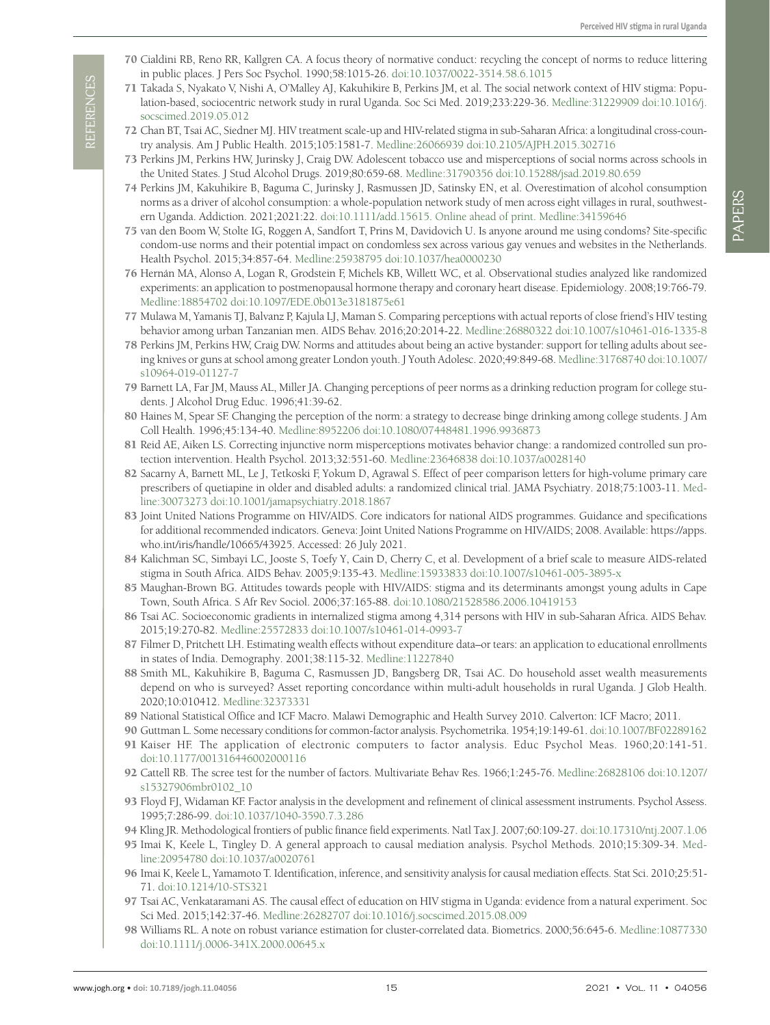- <span id="page-14-0"></span>70 Cialdini RB, Reno RR, Kallgren CA. A focus theory of normative conduct: recycling the concept of norms to reduce littering in public places. J Pers Soc Psychol. 1990;58:1015-26. [doi:10.1037/0022-3514.58.6.1015](https://doi.org/10.1037/0022-3514.58.6.1015)
- <span id="page-14-1"></span>71 Takada S, Nyakato V, Nishi A, O'Malley AJ, Kakuhikire B, Perkins JM, et al. The social network context of HIV stigma: Population-based, sociocentric network study in rural Uganda. Soc Sci Med. 2019;233:229-36. [Medline:31229909](https://www.ncbi.nlm.nih.gov/entrez/query.fcgi?cmd=Retrieve&db=PubMed&list_uids=31229909&dopt=Abstract) [doi:10.1016/j.](https://doi.org/10.1016/j.socscimed.2019.05.012) [socscimed.2019.05.012](https://doi.org/10.1016/j.socscimed.2019.05.012)
- <span id="page-14-2"></span>72 Chan BT, Tsai AC, Siedner MJ. HIV treatment scale-up and HIV-related stigma in sub-Saharan Africa: a longitudinal cross-country analysis. Am J Public Health. 2015;105:1581-7. [Medline:26066939](https://www.ncbi.nlm.nih.gov/entrez/query.fcgi?cmd=Retrieve&db=PubMed&list_uids=26066939&dopt=Abstract) [doi:10.2105/AJPH.2015.302716](https://doi.org/10.2105/AJPH.2015.302716)
- <span id="page-14-3"></span>73 Perkins JM, Perkins HW, Jurinsky J, Craig DW. Adolescent tobacco use and misperceptions of social norms across schools in the United States. J Stud Alcohol Drugs. 2019;80:659-68. [Medline:31790356](https://www.ncbi.nlm.nih.gov/entrez/query.fcgi?cmd=Retrieve&db=PubMed&list_uids=31790356&dopt=Abstract) [doi:10.15288/jsad.2019.80.659](https://doi.org/10.15288/jsad.2019.80.659)
- <span id="page-14-4"></span>74 Perkins JM, Kakuhikire B, Baguma C, Jurinsky J, Rasmussen JD, Satinsky EN, et al. Overestimation of alcohol consumption norms as a driver of alcohol consumption: a whole-population network study of men across eight villages in rural, southwestern Uganda. Addiction. 2021;2021:22. [doi:10.1111/add.15615](https://doi.org/10.1111/add.15615). Online ahead of print. [Medline:34159646](https://www.ncbi.nlm.nih.gov/entrez/query.fcgi?cmd=Retrieve&db=PubMed&list_uids=34159646&dopt=Abstract)
- <span id="page-14-5"></span>75 van den Boom W, Stolte IG, Roggen A, Sandfort T, Prins M, Davidovich U. Is anyone around me using condoms? Site-specific condom-use norms and their potential impact on condomless sex across various gay venues and websites in the Netherlands. Health Psychol. 2015;34:857-64. [Medline:25938795](https://www.ncbi.nlm.nih.gov/entrez/query.fcgi?cmd=Retrieve&db=PubMed&list_uids=25938795&dopt=Abstract) [doi:10.1037/hea0000230](https://doi.org/10.1037/hea0000230)
- <span id="page-14-6"></span>76 Hernán MA, Alonso A, Logan R, Grodstein F, Michels KB, Willett WC, et al. Observational studies analyzed like randomized experiments: an application to postmenopausal hormone therapy and coronary heart disease. Epidemiology. 2008;19:766-79. [Medline:18854702](https://www.ncbi.nlm.nih.gov/entrez/query.fcgi?cmd=Retrieve&db=PubMed&list_uids=18854702&dopt=Abstract) [doi:10.1097/EDE.0b013e3181875e61](https://doi.org/10.1097/EDE.0b013e3181875e61)
- <span id="page-14-7"></span>77 Mulawa M, Yamanis TJ, Balvanz P, Kajula LJ, Maman S. Comparing perceptions with actual reports of close friend's HIV testing behavior among urban Tanzanian men. AIDS Behav. 2016;20:2014-22. [Medline:26880322](https://www.ncbi.nlm.nih.gov/entrez/query.fcgi?cmd=Retrieve&db=PubMed&list_uids=26880322&dopt=Abstract) [doi:10.1007/s10461-016-1335-8](https://doi.org/10.1007/s10461-016-1335-8)
- <span id="page-14-8"></span>78 Perkins JM, Perkins HW, Craig DW. Norms and attitudes about being an active bystander: support for telling adults about seeing knives or guns at school among greater London youth. J Youth Adolesc. 2020;49:849-68. [Medline:31768740](https://www.ncbi.nlm.nih.gov/entrez/query.fcgi?cmd=Retrieve&db=PubMed&list_uids=31768740&dopt=Abstract) [doi:10.1007/](https://doi.org/10.1007/s10964-019-01127-7) [s10964-019-01127-7](https://doi.org/10.1007/s10964-019-01127-7)
- <span id="page-14-9"></span>79 Barnett LA, Far JM, Mauss AL, Miller JA. Changing perceptions of peer norms as a drinking reduction program for college students. J Alcohol Drug Educ. 1996;41:39-62.
- 80 Haines M, Spear SF. Changing the perception of the norm: a strategy to decrease binge drinking among college students. J Am Coll Health. 1996;45:134-40. [Medline:8952206](https://www.ncbi.nlm.nih.gov/entrez/query.fcgi?cmd=Retrieve&db=PubMed&list_uids=8952206&dopt=Abstract) [doi:10.1080/07448481.1996.9936873](https://doi.org/10.1080/07448481.1996.9936873)
- <span id="page-14-10"></span>81 Reid AE, Aiken LS. Correcting injunctive norm misperceptions motivates behavior change: a randomized controlled sun protection intervention. Health Psychol. 2013;32:551-60. [Medline:23646838](https://www.ncbi.nlm.nih.gov/entrez/query.fcgi?cmd=Retrieve&db=PubMed&list_uids=23646838&dopt=Abstract) [doi:10.1037/a0028140](https://doi.org/10.1037/a0028140)
- <span id="page-14-11"></span>82 Sacarny A, Barnett ML, Le J, Tetkoski F, Yokum D, Agrawal S. Effect of peer comparison letters for high-volume primary care prescribers of quetiapine in older and disabled adults: a randomized clinical trial. JAMA Psychiatry. 2018;75:1003-11. [Med](https://www.ncbi.nlm.nih.gov/entrez/query.fcgi?cmd=Retrieve&db=PubMed&list_uids=30073273&dopt=Abstract)[line:30073273](https://www.ncbi.nlm.nih.gov/entrez/query.fcgi?cmd=Retrieve&db=PubMed&list_uids=30073273&dopt=Abstract) [doi:10.1001/jamapsychiatry.2018.1867](https://doi.org/10.1001/jamapsychiatry.2018.1867)
- <span id="page-14-12"></span>83 Joint United Nations Programme on HIV/AIDS. Core indicators for national AIDS programmes. Guidance and specifications for additional recommended indicators. Geneva: Joint United Nations Programme on HIV/AIDS; 2008. Available: [https://apps.](https://apps.who.int/iris/handle/10665/43925) [who.int/iris/handle/10665/43925](https://apps.who.int/iris/handle/10665/43925). Accessed: 26 July 2021.
- <span id="page-14-13"></span>84 Kalichman SC, Simbayi LC, Jooste S, Toefy Y, Cain D, Cherry C, et al. Development of a brief scale to measure AIDS-related stigma in South Africa. AIDS Behav. 2005;9:135-43. [Medline:15933833](https://www.ncbi.nlm.nih.gov/entrez/query.fcgi?cmd=Retrieve&db=PubMed&list_uids=15933833&dopt=Abstract) [doi:10.1007/s10461-005-3895-x](https://doi.org/10.1007/s10461-005-3895-x)
- <span id="page-14-14"></span>85 Maughan-Brown BG. Attitudes towards people with HIV/AIDS: stigma and its determinants amongst young adults in Cape Town, South Africa. S Afr Rev Sociol. 2006;37:165-88. [doi:10.1080/21528586.2006.10419153](https://doi.org/10.1080/21528586.2006.10419153)
- <span id="page-14-25"></span>86 Tsai AC. Socioeconomic gradients in internalized stigma among 4,314 persons with HIV in sub-Saharan Africa. AIDS Behav. 2015;19:270-82. [Medline:25572833](https://www.ncbi.nlm.nih.gov/entrez/query.fcgi?cmd=Retrieve&db=PubMed&list_uids=25572833&dopt=Abstract) [doi:10.1007/s10461-014-0993-7](https://doi.org/10.1007/s10461-014-0993-7)
- <span id="page-14-15"></span>87 Filmer D, Pritchett LH. Estimating wealth effects without expenditure data–or tears: an application to educational enrollments in states of India. Demography. 2001;38:115-32. [Medline:11227840](https://www.ncbi.nlm.nih.gov/entrez/query.fcgi?cmd=Retrieve&db=PubMed&list_uids=11227840&dopt=Abstract)
- <span id="page-14-16"></span>88 Smith ML, Kakuhikire B, Baguma C, Rasmussen JD, Bangsberg DR, Tsai AC. Do household asset wealth measurements depend on who is surveyed? Asset reporting concordance within multi-adult households in rural Uganda. J Glob Health. 2020;10:010412. [Medline:32373331](https://www.ncbi.nlm.nih.gov/entrez/query.fcgi?cmd=Retrieve&db=PubMed&list_uids=32373331&dopt=Abstract)
- <span id="page-14-17"></span>89 National Statistical Office and ICF Macro. Malawi Demographic and Health Survey 2010. Calverton: ICF Macro; 2011.
- <span id="page-14-18"></span>90 Guttman L. Some necessary conditions for common-factor analysis. Psychometrika. 1954;19:149-61. [doi:10.1007/BF02289162](https://doi.org/10.1007/BF02289162)
- <span id="page-14-19"></span>91 Kaiser HF. The application of electronic computers to factor analysis. Educ Psychol Meas. 1960;20:141-51. [doi:10.1177/001316446002000116](https://doi.org/10.1177/001316446002000116)
- <span id="page-14-20"></span>92 Cattell RB. The scree test for the number of factors. Multivariate Behav Res. 1966;1:245-76. [Medline:26828106](https://www.ncbi.nlm.nih.gov/entrez/query.fcgi?cmd=Retrieve&db=PubMed&list_uids=26828106&dopt=Abstract) [doi:10.1207/](https://doi.org/10.1207/s15327906mbr0102_10) [s15327906mbr0102\\_10](https://doi.org/10.1207/s15327906mbr0102_10)
- <span id="page-14-21"></span>93 Floyd FJ, Widaman KF. Factor analysis in the development and refinement of clinical assessment instruments. Psychol Assess. 1995;7:286-99. [doi:10.1037/1040-3590.7.3.286](https://doi.org/10.1037/1040-3590.7.3.286)
- <span id="page-14-22"></span>94 Kling JR. Methodological frontiers of public finance field experiments. Natl Tax J. 2007;60:109-27. [doi:10.17310/ntj.2007.1.06](https://doi.org/10.17310/ntj.2007.1.06)
- <span id="page-14-24"></span>95 Imai K, Keele L, Tingley D. A general approach to causal mediation analysis. Psychol Methods. 2010;15:309-34. [Med](https://www.ncbi.nlm.nih.gov/entrez/query.fcgi?cmd=Retrieve&db=PubMed&list_uids=20954780&dopt=Abstract)[line:20954780](https://www.ncbi.nlm.nih.gov/entrez/query.fcgi?cmd=Retrieve&db=PubMed&list_uids=20954780&dopt=Abstract) [doi:10.1037/a0020761](https://doi.org/10.1037/a0020761)
- <span id="page-14-23"></span>96 Imai K, Keele L, Yamamoto T. Identification, inference, and sensitivity analysis for causal mediation effects. Stat Sci. 2010;25:51- 71. [doi:10.1214/10-STS321](https://doi.org/10.1214/10-STS321)
- <span id="page-14-26"></span>97 Tsai AC, Venkataramani AS. The causal effect of education on HIV stigma in Uganda: evidence from a natural experiment. Soc Sci Med. 2015;142:37-46. [Medline:26282707](https://www.ncbi.nlm.nih.gov/entrez/query.fcgi?cmd=Retrieve&db=PubMed&list_uids=26282707&dopt=Abstract) [doi:10.1016/j.socscimed.2015.08.009](https://doi.org/10.1016/j.socscimed.2015.08.009)
- <span id="page-14-27"></span>98 Williams RL. A note on robust variance estimation for cluster-correlated data. Biometrics. 2000;56:645-6. [Medline:10877330](https://www.ncbi.nlm.nih.gov/entrez/query.fcgi?cmd=Retrieve&db=PubMed&list_uids=10877330&dopt=Abstract) [doi:10.1111/j.0006-341X.2000.00645.x](https://doi.org/10.1111/j.0006-341X.2000.00645.x)